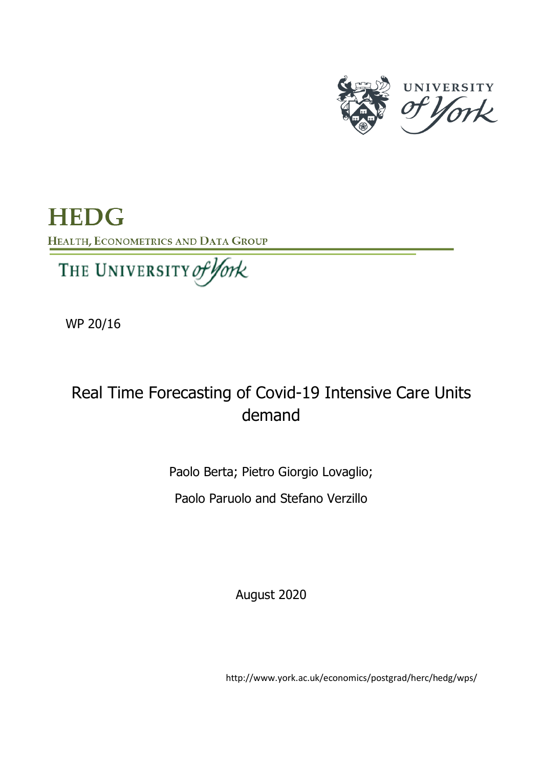

**HEDG** HEALTH, ECONOMETRICS AND DATA GROUP

We 200 Million lork

WP 20/16

# Real Time Forecasting of Covid-19 Intensive Care Units demand

Paolo Berta; Pietro Giorgio Lovaglio;

Paolo Paruolo and Stefano Verzillo

August 2020

http://www.york.ac.uk/economics/postgrad/herc/hedg/wps/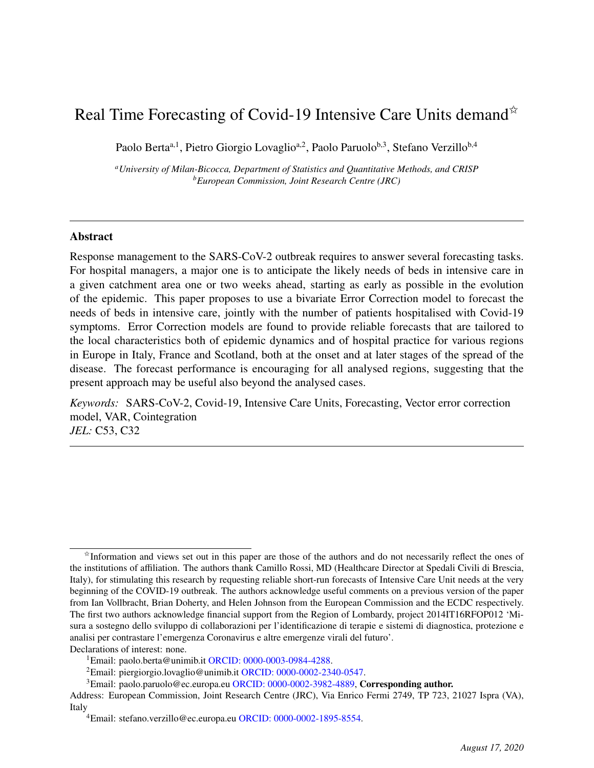## Real Time Forecasting of Covid-19 Intensive Care Units demand  $\mathbb{R}$

Paolo Berta<sup>a, 1</sup>, Pietro Giorgio Lovaglio<sup>a, 2</sup>, Paolo Paruolo<sup>b, 3</sup>, Stefano Verzillo<sup>b, 4</sup>

*<sup>a</sup>University of Milan-Bicocca, Department of Statistics and Quantitative Methods, and CRISP <sup>b</sup>European Commission, Joint Research Centre (JRC)*

## Abstract

Response management to the SARS-CoV-2 outbreak requires to answer several forecasting tasks. For hospital managers, a major one is to anticipate the likely needs of beds in intensive care in a given catchment area one or two weeks ahead, starting as early as possible in the evolution of the epidemic. This paper proposes to use a bivariate Error Correction model to forecast the needs of beds in intensive care, jointly with the number of patients hospitalised with Covid-19 symptoms. Error Correction models are found to provide reliable forecasts that are tailored to the local characteristics both of epidemic dynamics and of hospital practice for various regions in Europe in Italy, France and Scotland, both at the onset and at later stages of the spread of the disease. The forecast performance is encouraging for all analysed regions, suggesting that the present approach may be useful also beyond the analysed cases.

*Keywords:* SARS-CoV-2, Covid-19, Intensive Care Units, Forecasting, Vector error correction model, VAR, Cointegration *JEL:* C53, C32

 $\dot{\gamma}$ Information and views set out in this paper are those of the authors and do not necessarily reflect the ones of the institutions of affiliation. The authors thank Camillo Rossi, MD (Healthcare Director at Spedali Civili di Brescia, Italy), for stimulating this research by requesting reliable short-run forecasts of Intensive Care Unit needs at the very beginning of the COVID-19 outbreak. The authors acknowledge useful comments on a previous version of the paper from Ian Vollbracht, Brian Doherty, and Helen Johnson from the European Commission and the ECDC respectively. The first two authors acknowledge financial support from the Region of Lombardy, project 2014IT16RFOP012 'Misura a sostegno dello sviluppo di collaborazioni per l'identificazione di terapie e sistemi di diagnostica, protezione e analisi per contrastare l'emergenza Coronavirus e altre emergenze virali del futuro'. Declarations of interest: none.

<sup>&</sup>lt;sup>1</sup>Email: paolo.berta@unimib.it ORCID:  $0000-0003-0984-4288$ .

<sup>2</sup>Email: piergiorgio.lovaglio@unimib.it ORCID: 0000-0002-2340-0547.

 $3$ Email: paolo.paruolo@ec.europa.eu ORCID: 0000-0002-3982-4889, Corresponding author.

Address: European Commission, Joint Research Centre (JRC), Via Enrico Fermi 2749, TP 723, 21027 Ispra (VA), Italy

<sup>4</sup>Email: stefano.verzillo@ec.europa.eu ORCID: 0000-0002-1895-8554.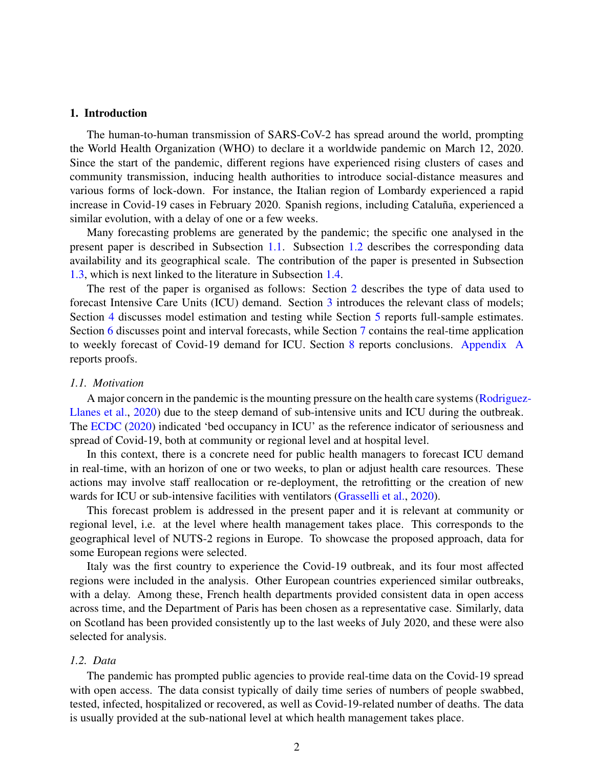## 1. Introduction

The human-to-human transmission of SARS-CoV-2 has spread around the world, prompting the World Health Organization (WHO) to declare it a worldwide pandemic on March 12, 2020. Since the start of the pandemic, different regions have experienced rising clusters of cases and community transmission, inducing health authorities to introduce social-distance measures and various forms of lock-down. For instance, the Italian region of Lombardy experienced a rapid increase in Covid-19 cases in February 2020. Spanish regions, including Cataluña, experienced a similar evolution, with a delay of one or a few weeks.

Many forecasting problems are generated by the pandemic; the specific one analysed in the present paper is described in Subsection 1.1. Subsection 1.2 describes the corresponding data availability and its geographical scale. The contribution of the paper is presented in Subsection 1.3, which is next linked to the literature in Subsection 1.4.

The rest of the paper is organised as follows: Section 2 describes the type of data used to forecast Intensive Care Units (ICU) demand. Section 3 introduces the relevant class of models; Section 4 discusses model estimation and testing while Section 5 reports full-sample estimates. Section 6 discusses point and interval forecasts, while Section 7 contains the real-time application to weekly forecast of Covid-19 demand for ICU. Section 8 reports conclusions. Appendix A reports proofs.

#### *1.1. Motivation*

A major concern in the pandemic is the mounting pressure on the health care systems (Rodriguez-Llanes et al., 2020) due to the steep demand of sub-intensive units and ICU during the outbreak. The ECDC (2020) indicated 'bed occupancy in ICU' as the reference indicator of seriousness and spread of Covid-19, both at community or regional level and at hospital level.

In this context, there is a concrete need for public health managers to forecast ICU demand in real-time, with an horizon of one or two weeks, to plan or adjust health care resources. These actions may involve staff reallocation or re-deployment, the retrofitting or the creation of new wards for ICU or sub-intensive facilities with ventilators (Grasselli et al., 2020).

This forecast problem is addressed in the present paper and it is relevant at community or regional level, i.e. at the level where health management takes place. This corresponds to the geographical level of NUTS-2 regions in Europe. To showcase the proposed approach, data for some European regions were selected.

Italy was the first country to experience the Covid-19 outbreak, and its four most affected regions were included in the analysis. Other European countries experienced similar outbreaks, with a delay. Among these, French health departments provided consistent data in open access across time, and the Department of Paris has been chosen as a representative case. Similarly, data on Scotland has been provided consistently up to the last weeks of July 2020, and these were also selected for analysis.

## *1.2. Data*

The pandemic has prompted public agencies to provide real-time data on the Covid-19 spread with open access. The data consist typically of daily time series of numbers of people swabbed, tested, infected, hospitalized or recovered, as well as Covid-19-related number of deaths. The data is usually provided at the sub-national level at which health management takes place.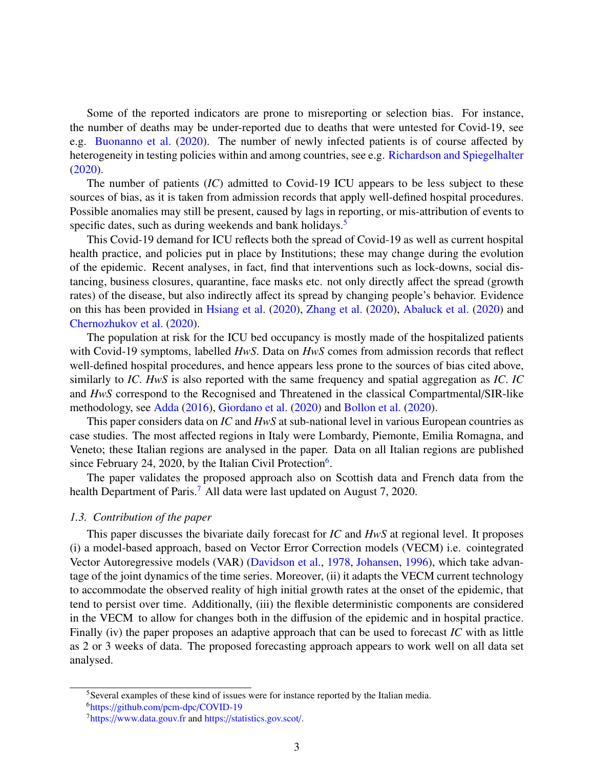Some of the reported indicators are prone to misreporting or selection bias. For instance, the number of deaths may be under-reported due to deaths that were untested for Covid-19, see e.g. Buonanno et al. (2020). The number of newly infected patients is of course affected by heterogeneity in testing policies within and among countries, see e.g. Richardson and Spiegelhalter (2020).

The number of patients (*IC*) admitted to Covid-19 ICU appears to be less subject to these sources of bias, as it is taken from admission records that apply well-defined hospital procedures. Possible anomalies may still be present, caused by lags in reporting, or mis-attribution of events to specific dates, such as during weekends and bank holidays.<sup>5</sup>

This Covid-19 demand for ICU reflects both the spread of Covid-19 as well as current hospital health practice, and policies put in place by Institutions; these may change during the evolution of the epidemic. Recent analyses, in fact, find that interventions such as lock-downs, social distancing, business closures, quarantine, face masks etc. not only directly affect the spread (growth rates) of the disease, but also indirectly affect its spread by changing people's behavior. Evidence on this has been provided in Hsiang et al. (2020), Zhang et al. (2020), Abaluck et al. (2020) and Chernozhukov et al. (2020).

The population at risk for the ICU bed occupancy is mostly made of the hospitalized patients with Covid-19 symptoms, labelled *HwS*. Data on *HwS* comes from admission records that reflect well-defined hospital procedures, and hence appears less prone to the sources of bias cited above, similarly to *IC*. *HwS* is also reported with the same frequency and spatial aggregation as *IC*. *IC* and *HwS* correspond to the Recognised and Threatened in the classical Compartmental/SIR-like methodology, see Adda (2016), Giordano et al. (2020) and Bollon et al. (2020).

This paper considers data on *IC* and *HwS* at sub-national level in various European countries as case studies. The most affected regions in Italy were Lombardy, Piemonte, Emilia Romagna, and Veneto; these Italian regions are analysed in the paper. Data on all Italian regions are published since February 24, 2020, by the Italian Civil Protection<sup>6</sup>.

The paper validates the proposed approach also on Scottish data and French data from the health Department of Paris.<sup>7</sup> All data were last updated on August 7, 2020.

#### *1.3. Contribution of the paper*

This paper discusses the bivariate daily forecast for *IC* and *HwS* at regional level. It proposes (i) a model-based approach, based on Vector Error Correction models (VECM) i.e. cointegrated Vector Autoregressive models (VAR) (Davidson et al., 1978, Johansen, 1996), which take advantage of the joint dynamics of the time series. Moreover, (ii) it adapts the VECM current technology to accommodate the observed reality of high initial growth rates at the onset of the epidemic, that tend to persist over time. Additionally, (iii) the flexible deterministic components are considered in the VECM to allow for changes both in the diffusion of the epidemic and in hospital practice. Finally (iv) the paper proposes an adaptive approach that can be used to forecast *IC* with as little as 2 or 3 weeks of data. The proposed forecasting approach appears to work well on all data set analysed.

<sup>&</sup>lt;sup>5</sup>Several examples of these kind of issues were for instance reported by the Italian media. <sup>6</sup>https://github.com/pcm-dpc/COVID-19

<sup>7</sup>https://www.data.gouv.fr and https://statistics.gov.scot/.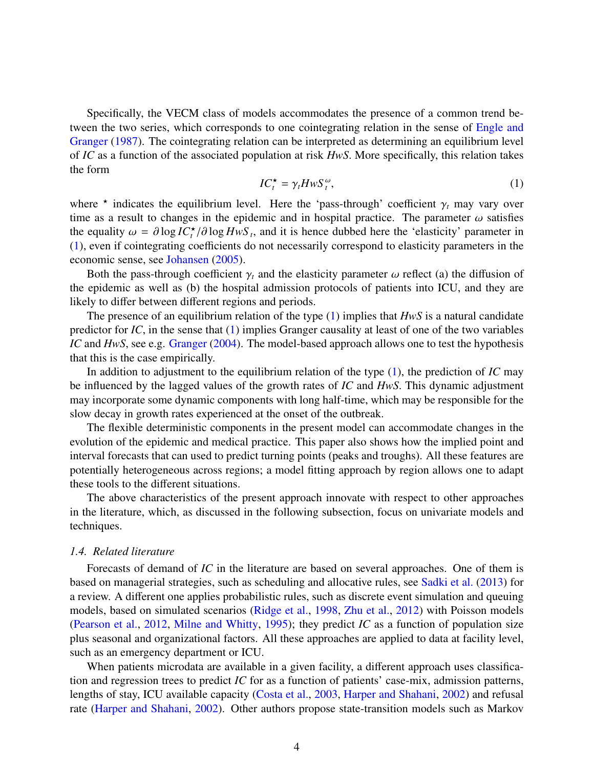Specifically, the VECM class of models accommodates the presence of a common trend between the two series, which corresponds to one cointegrating relation in the sense of Engle and Granger (1987). The cointegrating relation can be interpreted as determining an equilibrium level of *IC* as a function of the associated population at risk *HwS*. More specifically, this relation takes the form

$$
IC_t^{\star} = \gamma_t H w S_t^{\omega}, \tag{1}
$$

where  $\star$  indicates the equilibrium level. Here the 'pass-through' coefficient  $\gamma_t$  may vary over<br>time as a result to changes in the epidemic and in bospital practice. The parameter  $\omega$  satisfies time as a result to changes in the epidemic and in hospital practice. The parameter  $\omega$  satisfies the equality  $\omega = \partial \log IC_{t}^{*}/\partial \log HwS_{t}$ , and it is hence dubbed here the 'elasticity' parameter in the (1) even if contegrating coefficients do not necessarily correspond to elasticity parameters in the (1), even if cointegrating coefficients do not necessarily correspond to elasticity parameters in the economic sense, see Johansen (2005).

Both the pass-through coefficient  $\gamma_t$  and the elasticity parameter  $\omega$  reflect (a) the diffusion of the epidemic as well as (b) the hospital admission protocols of patients into ICU, and they are likely to differ between different regions and periods.

The presence of an equilibrium relation of the type (1) implies that *HwS* is a natural candidate predictor for *IC*, in the sense that (1) implies Granger causality at least of one of the two variables *IC* and *HwS*, see e.g. Granger (2004). The model-based approach allows one to test the hypothesis that this is the case empirically.

In addition to adjustment to the equilibrium relation of the type (1), the prediction of *IC* may be influenced by the lagged values of the growth rates of *IC* and *HwS*. This dynamic adjustment may incorporate some dynamic components with long half-time, which may be responsible for the slow decay in growth rates experienced at the onset of the outbreak.

The flexible deterministic components in the present model can accommodate changes in the evolution of the epidemic and medical practice. This paper also shows how the implied point and interval forecasts that can used to predict turning points (peaks and troughs). All these features are potentially heterogeneous across regions; a model fitting approach by region allows one to adapt these tools to the different situations.

The above characteristics of the present approach innovate with respect to other approaches in the literature, which, as discussed in the following subsection, focus on univariate models and techniques.

## *1.4. Related literature*

Forecasts of demand of *IC* in the literature are based on several approaches. One of them is based on managerial strategies, such as scheduling and allocative rules, see Sadki et al. (2013) for a review. A different one applies probabilistic rules, such as discrete event simulation and queuing models, based on simulated scenarios (Ridge et al., 1998, Zhu et al., 2012) with Poisson models (Pearson et al., 2012, Milne and Whitty, 1995); they predict *IC* as a function of population size plus seasonal and organizational factors. All these approaches are applied to data at facility level, such as an emergency department or ICU.

When patients microdata are available in a given facility, a different approach uses classification and regression trees to predict *IC* for as a function of patients' case-mix, admission patterns, lengths of stay, ICU available capacity (Costa et al., 2003, Harper and Shahani, 2002) and refusal rate (Harper and Shahani, 2002). Other authors propose state-transition models such as Markov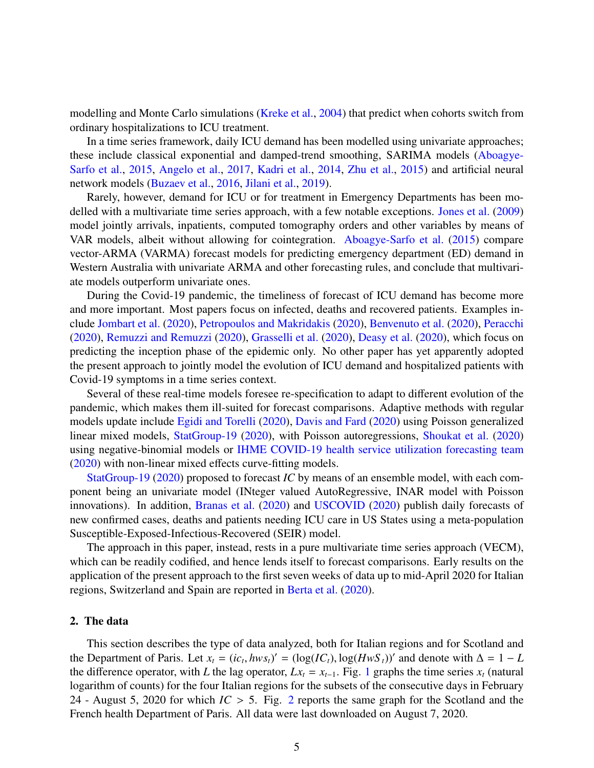modelling and Monte Carlo simulations (Kreke et al., 2004) that predict when cohorts switch from ordinary hospitalizations to ICU treatment.

In a time series framework, daily ICU demand has been modelled using univariate approaches; these include classical exponential and damped-trend smoothing, SARIMA models (Aboagye-Sarfo et al., 2015, Angelo et al., 2017, Kadri et al., 2014, Zhu et al., 2015) and artificial neural network models (Buzaev et al., 2016, Jilani et al., 2019).

Rarely, however, demand for ICU or for treatment in Emergency Departments has been modelled with a multivariate time series approach, with a few notable exceptions. Jones et al. (2009) model jointly arrivals, inpatients, computed tomography orders and other variables by means of VAR models, albeit without allowing for cointegration. Aboagye-Sarfo et al. (2015) compare vector-ARMA (VARMA) forecast models for predicting emergency department (ED) demand in Western Australia with univariate ARMA and other forecasting rules, and conclude that multivariate models outperform univariate ones.

During the Covid-19 pandemic, the timeliness of forecast of ICU demand has become more and more important. Most papers focus on infected, deaths and recovered patients. Examples include Jombart et al. (2020), Petropoulos and Makridakis (2020), Benvenuto et al. (2020), Peracchi (2020), Remuzzi and Remuzzi (2020), Grasselli et al. (2020), Deasy et al. (2020), which focus on predicting the inception phase of the epidemic only. No other paper has yet apparently adopted the present approach to jointly model the evolution of ICU demand and hospitalized patients with Covid-19 symptoms in a time series context.

Several of these real-time models foresee re-specification to adapt to different evolution of the pandemic, which makes them ill-suited for forecast comparisons. Adaptive methods with regular models update include Egidi and Torelli (2020), Davis and Fard (2020) using Poisson generalized linear mixed models, StatGroup-19 (2020), with Poisson autoregressions, Shoukat et al. (2020) using negative-binomial models or IHME COVID-19 health service utilization forecasting team (2020) with non-linear mixed effects curve-fitting models.

StatGroup-19 (2020) proposed to forecast *IC* by means of an ensemble model, with each component being an univariate model (INteger valued AutoRegressive, INAR model with Poisson innovations). In addition, Branas et al. (2020) and USCOVID (2020) publish daily forecasts of new confirmed cases, deaths and patients needing ICU care in US States using a meta-population Susceptible-Exposed-Infectious-Recovered (SEIR) model.

The approach in this paper, instead, rests in a pure multivariate time series approach (VECM), which can be readily codified, and hence lends itself to forecast comparisons. Early results on the application of the present approach to the first seven weeks of data up to mid-April 2020 for Italian regions, Switzerland and Spain are reported in Berta et al. (2020).

## 2. The data

This section describes the type of data analyzed, both for Italian regions and for Scotland and the Department of Paris. Let  $x_t = (ic_t, hw_s)' = (log(IC_t), log(HwS_t))'$  and denote with  $\Delta = 1 - L$ <br>the difference operator with *L* the lag operator  $Lx = x$ . Fig. 1 graphs the time series x (patural the difference operator, with *L* the lag operator,  $Lx_t = x_{t-1}$ . Fig. 1 graphs the time series  $x_t$  (natural logarithm of counts) for the four Italian regions for the subsets of the consecutive days in February 24 - August 5, 2020 for which *IC* > 5. Fig. <sup>2</sup> reports the same graph for the Scotland and the French health Department of Paris. All data were last downloaded on August 7, 2020.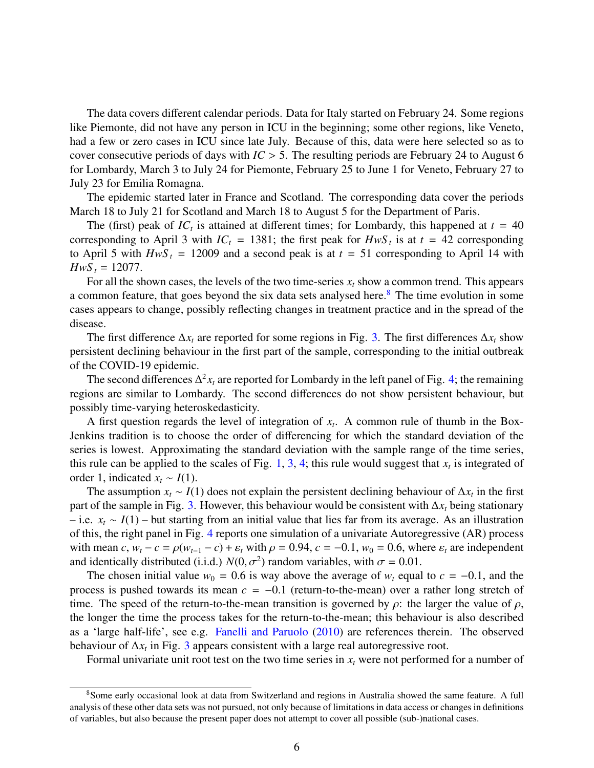The data covers different calendar periods. Data for Italy started on February 24. Some regions like Piemonte, did not have any person in ICU in the beginning; some other regions, like Veneto, had a few or zero cases in ICU since late July. Because of this, data were here selected so as to cover consecutive periods of days with *IC* > 5. The resulting periods are February 24 to August 6 for Lombardy, March 3 to July 24 for Piemonte, February 25 to June 1 for Veneto, February 27 to July 23 for Emilia Romagna.

The epidemic started later in France and Scotland. The corresponding data cover the periods March 18 to July 21 for Scotland and March 18 to August 5 for the Department of Paris.

The (first) peak of  $IC<sub>t</sub>$  is attained at different times; for Lombardy, this happened at  $t = 40$ corresponding to April 3 with  $IC_t = 1381$ ; the first peak for  $H w S_t$  is at  $t = 42$  corresponding to April 5 with  $HwS_t = 12009$  and a second peak is at  $t = 51$  corresponding to April 14 with  $HwS_t = 12077$ .

For all the shown cases, the levels of the two time-series *x<sup>t</sup>* show a common trend. This appears a common feature, that goes beyond the six data sets analysed here.<sup>8</sup> The time evolution in some cases appears to change, possibly reflecting changes in treatment practice and in the spread of the disease.

The first difference  $\Delta x_t$  are reported for some regions in Fig. 3. The first differences  $\Delta x_t$  show persistent declining behaviour in the first part of the sample, corresponding to the initial outbreak of the COVID-19 epidemic.

The second differences  $\Delta^2 x_t$  are reported for Lombardy in the left panel of Fig. 4; the remaining regions are similar to Lombardy. The second differences do not show persistent behaviour, but possibly time-varying heteroskedasticity.

A first question regards the level of integration of  $x_t$ . A common rule of thumb in the Box-Jenkins tradition is to choose the order of differencing for which the standard deviation of the series is lowest. Approximating the standard deviation with the sample range of the time series, this rule can be applied to the scales of Fig. 1, 3, 4; this rule would suggest that  $x_t$  is integrated of order 1, indicated  $x_t \sim I(1)$ .

The assumption  $x_t \sim I(1)$  does not explain the persistent declining behaviour of  $\Delta x_t$  in the first part of the sample in Fig. 3. However, this behaviour would be consistent with ∆*x<sup>t</sup>* being stationary – i.e. *x<sup>t</sup>* ∼ *I*(1) – but starting from an initial value that lies far from its average. As an illustration of this, the right panel in Fig. 4 reports one simulation of a univariate Autoregressive (AR) process with mean *c*,  $w_t - c = \rho(w_{t-1} - c) + \varepsilon_t$  with  $\rho = 0.94$ ,  $c = -0.1$ ,  $w_0 = 0.6$ , where  $\varepsilon_t$  are independent and identically distributed (i.i.d.)  $N(0, \sigma^2)$  random variables, with  $\sigma = 0.01$ .<br>The chosen initial value  $w_0 = 0.6$  is way above the average of w equal

The chosen initial value  $w_0 = 0.6$  is way above the average of  $w_t$  equal to  $c = -0.1$ , and the process is pushed towards its mean  $c = -0.1$  (return-to-the-mean) over a rather long stretch of time. The speed of the return-to-the-mean transition is governed by  $\rho$ : the larger the value of  $\rho$ , the longer the time the process takes for the return-to-the-mean; this behaviour is also described as a 'large half-life', see e.g. Fanelli and Paruolo (2010) are references therein. The observed behaviour of ∆*x<sup>t</sup>* in Fig. 3 appears consistent with a large real autoregressive root.

Formal univariate unit root test on the two time series in  $x_t$  were not performed for a number of

<sup>8</sup>Some early occasional look at data from Switzerland and regions in Australia showed the same feature. A full analysis of these other data sets was not pursued, not only because of limitations in data access or changes in definitions of variables, but also because the present paper does not attempt to cover all possible (sub-)national cases.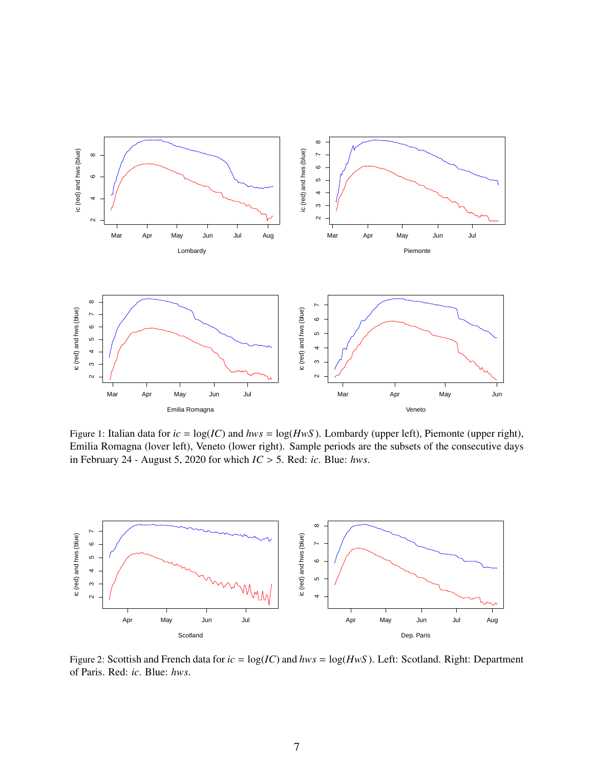

Figure 1: Italian data for  $ic = \log(IC)$  and  $hws = \log(HwS)$ . Lombardy (upper left), Piemonte (upper right), Emilia Romagna (lover left), Veneto (lower right). Sample periods are the subsets of the consecutive days in February 24 - August 5, 2020 for which *IC* > 5. Red: *ic*. Blue: *hws*.



Figure 2: Scottish and French data for *ic* = log(*IC*) and *hws* = log(*HwS* ). Left: Scotland. Right: Department of Paris. Red: *ic*. Blue: *hws*.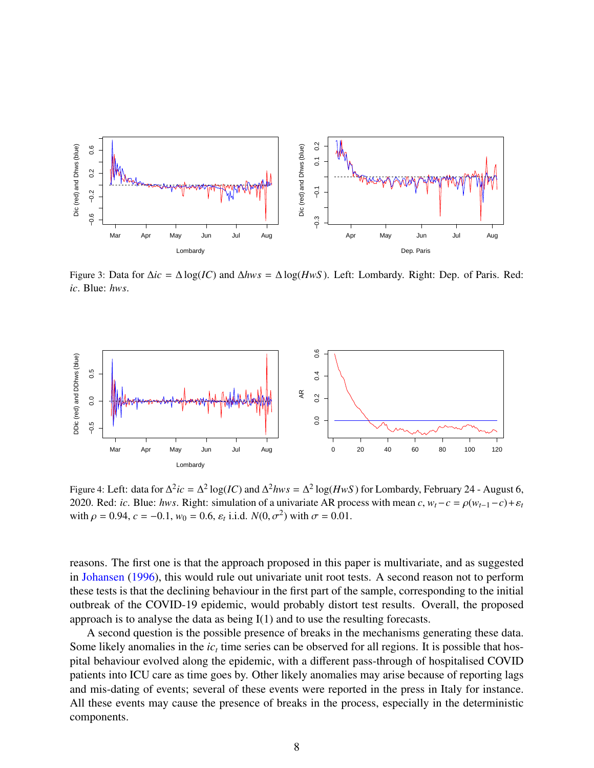

Figure 3: Data for ∆*ic* = ∆ log(*IC*) and ∆*hws* = ∆ log(*HwS* ). Left: Lombardy. Right: Dep. of Paris. Red: *ic*. Blue: *hws*.



Figure 4: Left: data for  $\Delta^2 ic = \Delta^2 \log(IC)$  and  $\Delta^2 hws = \Delta^2 \log(HwS)$  for Lombardy, February 24 - August 6, 2020. Red: *ic*. Blue: *hws*. Right: simulation of a univariate AR process with mean  $c$ ,  $w_t - c = \rho(w_{t-1} - c) + \varepsilon_t$ with  $\rho = 0.94$ ,  $c = -0.1$ ,  $w_0 = 0.6$ ,  $\varepsilon_t$  i.i.d.  $N(0, \sigma^2)$  with  $\sigma = 0.01$ .

reasons. The first one is that the approach proposed in this paper is multivariate, and as suggested in Johansen (1996), this would rule out univariate unit root tests. A second reason not to perform these tests is that the declining behaviour in the first part of the sample, corresponding to the initial outbreak of the COVID-19 epidemic, would probably distort test results. Overall, the proposed approach is to analyse the data as being I(1) and to use the resulting forecasts.

A second question is the possible presence of breaks in the mechanisms generating these data. Some likely anomalies in the  $ic<sub>t</sub>$  time series can be observed for all regions. It is possible that hospital behaviour evolved along the epidemic, with a different pass-through of hospitalised COVID patients into ICU care as time goes by. Other likely anomalies may arise because of reporting lags and mis-dating of events; several of these events were reported in the press in Italy for instance. All these events may cause the presence of breaks in the process, especially in the deterministic components.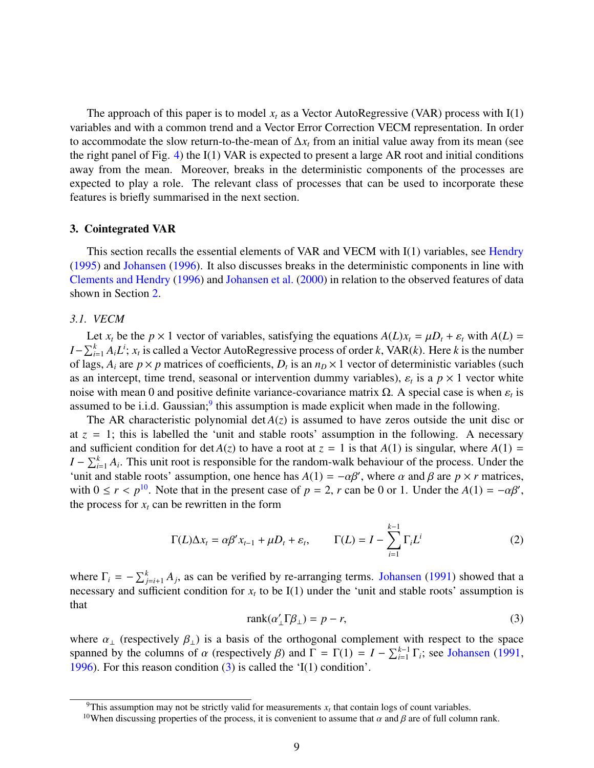The approach of this paper is to model  $x_t$  as a Vector AutoRegressive (VAR) process with  $I(1)$ variables and with a common trend and a Vector Error Correction VECM representation. In order to accommodate the slow return-to-the-mean of  $\Delta x_t$  from an initial value away from its mean (see the right panel of Fig. 4) the I(1) VAR is expected to present a large AR root and initial conditions away from the mean. Moreover, breaks in the deterministic components of the processes are expected to play a role. The relevant class of processes that can be used to incorporate these features is briefly summarised in the next section.

## 3. Cointegrated VAR

This section recalls the essential elements of VAR and VECM with I(1) variables, see Hendry (1995) and Johansen (1996). It also discusses breaks in the deterministic components in line with Clements and Hendry (1996) and Johansen et al. (2000) in relation to the observed features of data shown in Section 2.

## *3.1. VECM*

Let  $x_t$  be the  $p \times 1$  vector of variables, satisfying the equations  $A(L)x_t = \mu D_t + \varepsilon_t$  with  $A(L) =$  $I - \sum_{i=1}^{k} A_i L^i$ ;  $x_t$  is called a Vector AutoRegressive process of order *k*, VAR(*k*). Here *k* is the number of lags,  $A_i$  are  $p \times p$  matrices of coefficients,  $D_t$  is an  $n_D \times 1$  vector of deterministic variables (such as an intercept, time trend, seasonal or intervention dummy variables),  $\varepsilon_t$  is a  $p \times 1$  vector white<br>poise with mean 0 and positive definite variance-covariance matrix  $\Omega$ . A special case is when s is noise with mean 0 and positive definite variance-covariance matrix  $\Omega$ . A special case is when  $\varepsilon_t$  is<br>assumed to be *i* i d. Gaussian<sup>9</sup> this assumption is made explicit when made in the following assumed to be i.i.d. Gaussian;<sup>9</sup> this assumption is made explicit when made in the following.

The AR characteristic polynomial det  $A(z)$  is assumed to have zeros outside the unit disc or at  $z = 1$ ; this is labelled the 'unit and stable roots' assumption in the following. A necessary and sufficient condition for det  $A(z)$  to have a root at  $z = 1$  is that  $A(1)$  is singular, where  $A(1) =$ *I* −  $\sum_{i=1}^{k} A_i$ . This unit root is responsible for the random-walk behaviour of the process. Under the 'unit and stable roots' assumption, one hence has  $A(1) = -\alpha\beta'$ , where  $\alpha$  and  $\beta$  are  $p \times r$  matrices, with  $0 \le r \le n^{10}$ . Note that in the present case of  $n = 2$ , r can be 0 or 1. Under the  $A(1) = -\alpha\beta'$ . with  $0 \le r < p^{10}$ . Note that in the present case of  $p = 2$ ,  $r$  can be 0 or 1. Under the  $A(1) = -\alpha\beta'$ , the process for  $r$  can be rewritten in the form the process for  $x_t$  can be rewritten in the form

$$
\Gamma(L)\Delta x_t = \alpha \beta' x_{t-1} + \mu D_t + \varepsilon_t, \qquad \Gamma(L) = I - \sum_{i=1}^{k-1} \Gamma_i L^i
$$
 (2)

where  $\Gamma_i = -\sum_{j=i+1}^{k} A_j$ , as can be verified by re-arranging terms. Johansen (1991) showed that a necessary and sufficient condition for  $x_t$  to be I(1) under the 'unit and stable roots' assumption is that

$$
rank(\alpha'_{\perp} \Gamma \beta_{\perp}) = p - r,\tag{3}
$$

where  $\alpha_{\perp}$  (respectively  $\beta_{\perp}$ ) is a basis of the orthogonal complement with respect to the space spanned by the columns of α (respectively β) and  $\Gamma = \Gamma(1) = I - \sum_{i=1}^{k-1} \Gamma_i$ ; see Johansen (1991, 1996). For this reason condition (3) is called the 'I(1) condition'. 1996). For this reason condition (3) is called the 'I(1) condition'.

<sup>&</sup>lt;sup>9</sup>This assumption may not be strictly valid for measurements  $x_t$  that contain logs of count variables.

<sup>&</sup>lt;sup>10</sup>When discussing properties of the process, it is convenient to assume that  $\alpha$  and  $\beta$  are of full column rank.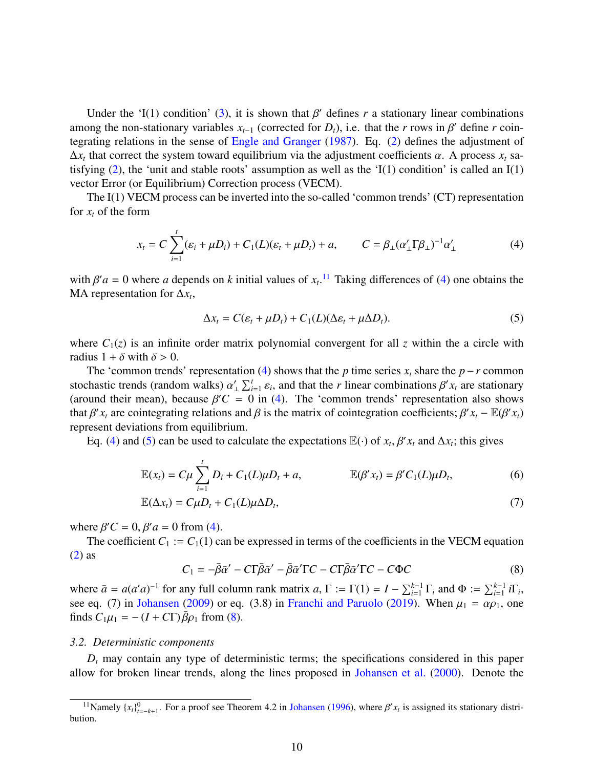Under the 'I(1) condition' (3), it is shown that  $\beta'$  defines *r* a stationary linear combinations<br>ong the non-stationary variables  $r_{\alpha}$  (corrected for D) i.e. that the *r* rows in  $\beta'$  define *r* coinamong the non-stationary variables  $x_{t-1}$  (corrected for  $D_t$ ), i.e. that the *r* rows in  $\beta'$  define *r* coin-<br>tegrating relations in the sense of **Engle and Granger** (1987). Eq. (2) defines the adjustment of tegrating relations in the sense of Engle and Granger (1987). Eq. (2) defines the adjustment of  $\Delta x_t$  that correct the system toward equilibrium via the adjustment coefficients  $\alpha$ . A process  $x_t$  sa-<br>tistying (2) the 'unit and stable roots' assumption as well as the 'I(1) condition' is called an I(1) tisfying (2), the 'unit and stable roots' assumption as well as the 'I(1) condition' is called an I(1) vector Error (or Equilibrium) Correction process (VECM).

The I(1) VECM process can be inverted into the so-called 'common trends' (CT) representation for  $x_t$  of the form

$$
x_t = C \sum_{i=1}^t (\varepsilon_i + \mu D_i) + C_1(L)(\varepsilon_t + \mu D_t) + a, \qquad C = \beta_\perp (\alpha_\perp' \Gamma \beta_\perp)^{-1} \alpha_\perp'
$$
 (4)

with  $\beta' a = 0$  where *a* depends on *k* initial values of  $x_t$ .<sup>11</sup> Taking differences of (4) one obtains the MA representation for  $\Delta x$ MA representation for  $\Delta x_t$ ,

$$
\Delta x_t = C(\varepsilon_t + \mu D_t) + C_1(L)(\Delta \varepsilon_t + \mu \Delta D_t). \tag{5}
$$

where  $C_1(z)$  is an infinite order matrix polynomial convergent for all *z* within the a circle with radius  $1 + \delta$  with  $\delta > 0$ .

The 'common trends' representation (4) shows that the *p* time series  $x_t$  share the *p* − *r* common stochastic trends (random walks)  $\alpha'_{\perp} \sum_{i=1}^{t} \varepsilon_i$ , and that the *r* linear combinations  $\beta' x_t$  are stationary ε*i* (around their mean), because  $\beta'C = 0$  in (4). The 'common trends' representation also shows<br>that  $\beta'$  x are cointegrating relations and  $\beta$  is the matrix of cointegration coefficients:  $\beta'$  x  $-\mathbb{F}(\beta'$  x) that  $\beta' x_t$  are cointegrating relations and  $\beta$  is the matrix of cointegration coefficients;  $\beta' x_t - \mathbb{E}(\beta' x_t)$ represent deviations from equilibrium.

Eq. (4) and (5) can be used to calculate the expectations  $\mathbb{E}(\cdot)$  of  $x_t$ ,  $\beta' x_t$  and  $\Delta x_t$ ; this gives

$$
\mathbb{E}(x_t) = C\mu \sum_{i=1}^t D_i + C_1(L)\mu D_t + a, \qquad \mathbb{E}(\beta' x_t) = \beta' C_1(L)\mu D_t, \qquad (6)
$$

$$
\mathbb{E}(\Delta x_t) = C\mu D_t + C_1(L)\mu \Delta D_t, \qquad (7)
$$

where  $\beta' C = 0$ ,  $\beta' a = 0$  from (4).<br>The coefficient  $C_1 := C_2(1)$  coefficient

The coefficient  $C_1 := C_1(1)$  can be expressed in terms of the coefficients in the VECM equation (2) as

$$
C_1 = -\bar{\beta}\bar{\alpha}' - C\Gamma\bar{\beta}\bar{\alpha}' - \bar{\beta}\bar{\alpha}'\Gamma C - C\Gamma\bar{\beta}\bar{\alpha}'\Gamma C - C\Phi C
$$
\n(8)

where  $\bar{a} = a(a'a)^{-1}$  for any full column rank matrix  $a, \Gamma := \Gamma(1) = I - \sum_{i=1}^{k-1} \Gamma_i$  and  $\Phi := \sum_{i=1}^{k-1} i\Gamma_i$ , see eq. (7) in Johansen (2009) or eq. (3.8) in Franchi and Paruolo (2019). When  $\mu_1 = \alpha \rho_1$ , one finds  $C_1\mu_1 = -(I + C\Gamma)\bar{\beta}\rho_1$  from (8).

#### *3.2. Deterministic components*

 $D_t$  may contain any type of deterministic terms; the specifications considered in this paper allow for broken linear trends, along the lines proposed in Johansen et al. (2000). Denote the

<sup>&</sup>lt;sup>11</sup>Namely  $\{x_t\}_{t=-k+1}^0$ . For a proof see Theorem 4.2 in Johansen (1996), where  $\beta' x_t$  is assigned its stationary distribution.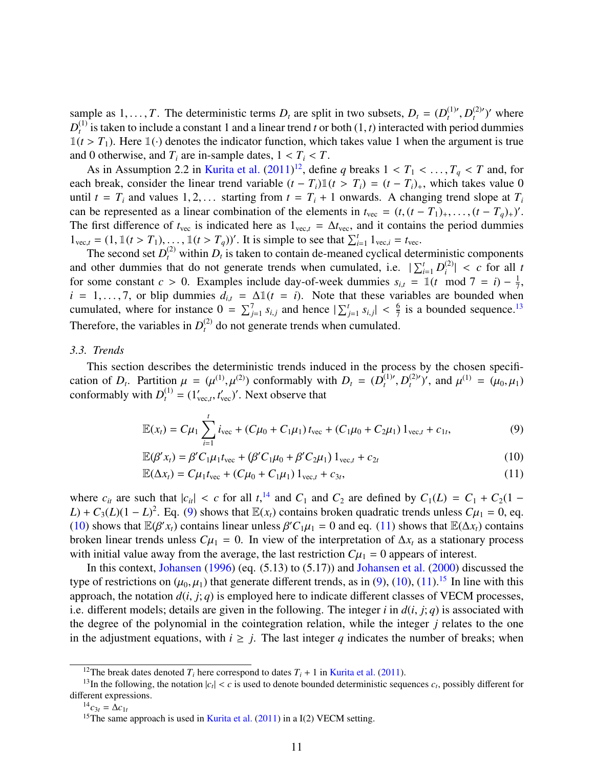sample as  $1, \ldots, T$ . The deterministic terms  $D_t$  are split in two subsets,  $D_t = (D_t^{(1)}, D_t^{(1)})$  is taken to include a constant 1 and a linear trend t or both  $(1, t)$  interacted with per  $L_t^{(1)}$ ,  $D_t^{(2)}$ <br>
period  $\epsilon$  $t^{(2)'}$ )' where  $D_t^{(1)}$ <sup>(1)</sup> is taken to include a constant 1 and a linear trend *t* or both  $(1, t)$  interacted with period dummies  $t \geq T$ .) Here  $\mathbb{I}(\cdot)$  denotes the indicator function, which takes value 1 when the argument is true  $\mathbb{1}(t > T_1)$ . Here  $\mathbb{1}(\cdot)$  denotes the indicator function, which takes value 1 when the argument is true and 0 otherwise, and  $T_i$  are in-sample dates,  $1 < T_i < T$ .

As in Assumption 2.2 in Kurita et al.  $(2011)^{12}$ , define *q* breaks  $1 < T_1 < \dots, T_q < T$  and, for heaven consider the linear trend variable  $(t - T_1)(t) < T_1 - (t - T_1)$  which takes value 0. each break, consider the linear trend variable  $(t - T_i) \mathbb{1}(t > T_i) = (t - T_i)_+$ , which takes value 0 until  $t = T_i$  and values 1, 2, ... starting from  $t = T_i + 1$  onwards. A changing trend slope at  $T_i$ can be represented as a linear combination of the elements in  $t_{\text{vec}} = (t, (t - T_1)_+, ..., (t - T_q)_+)$ .<br>The first difference of  $t_i$  is indicated here as  $1 - \Delta t$  and it contains the period dumnies The first difference of  $t_{\text{vec}}$  is indicated here as  $1_{\text{vec}} = \Delta t_{\text{vec}}$ , and it contains the period dummies  $1_{\text{vec},t} = (1, 1\,(t > T_1), \ldots, 1\,(t > T_q))'$ . It is simple to see that  $\sum_{i=1}^{t} 1_{\text{vec},i} = t_{\text{vec}}$ .<br>The second set  $D^{(2)}$  within D is taken to contain de-meaned cyclical dete

The second set  $D_t^{(2)}$  within  $D_t$  is taken to contain de-meaned cyclical deterministic components and other dummies that do not generate trends when cumulated, i.e.  $\sum_{i=1}^{t} D_i^{(2)}$  $\left| \begin{array}{c} (2) \\ i \end{array} \right|$  < *c* for all *t*<br>  $\mod 7 = i - \frac{1}{2}$ for some constant *c* > 0. Examples include day-of-week dummies  $s_{i,t} = \mathbb{1}(t \mod 7 = i) - \frac{1}{7}$ <br>*i* = 1 ... 7 or blin dummies  $d_x = \Lambda \mathbb{1}(t - i)$ . Note that these variables are bounded when  $\frac{1}{7}$ ,  $i = 1, \ldots, 7$ , or blip dummies  $d_{i,t} = \Delta \mathbb{1}(t = i)$ . Note that these variables are bounded when cumulated, where for instance  $0 = \sum_{j=1}^{7} s_{i,j}$  and hence  $|\sum_{j=1}^{t} s_{i,j}| < \frac{6}{7}$ <br>Therefore the verichles in  $D^{(2)}$  denote concrete trands when sympleted.  $\frac{6}{7}$  is a bounded sequence.<sup>13</sup> Therefore, the variables in  $D_t^{(2)}$  do not generate trends when cumulated.

#### *3.3. Trends*

This section describes the deterministic trends induced in the process by the chosen specification of *D<sub>t</sub>*. Partition  $\mu = (\mu^{(1)}, \mu^{(2)})$  conformably with  $D_t = (D_t^{(1)}/C_t^{(1)})$  conformably with  $D_t^{(1)} = (1' - t')'$ . Next observe that  $b_t^{(1)}$ ,  $D_t^{(2)}$  $\mu_1^{(2)}$ , and  $\mu_1^{(1)} = (\mu_0, \mu_1)$ conformably with  $D_t^{(1)} = (1'_{\text{vec},t}, t'_{\text{vec}})'$ . Next observe that

$$
\mathbb{E}(x_t) = C\mu_1 \sum_{i=1}^t i_{\text{vec}} + (C\mu_0 + C_1\mu_1) t_{\text{vec}} + (C_1\mu_0 + C_2\mu_1) 1_{\text{vec},t} + c_{1t},
$$
\n(9)

$$
\mathbb{E}(\beta' x_t) = \beta' C_1 \mu_1 t_{\text{vec}} + (\beta' C_1 \mu_0 + \beta' C_2 \mu_1) 1_{\text{vec},t} + c_{2t}
$$
\n
$$
(10)
$$

$$
\mathbb{E}(\Delta x_t) = C\mu_1 t_{\text{vec}} + (C\mu_0 + C_1\mu_1) 1_{\text{vec},t} + c_{3t},
$$
\n(11)

where  $c_{it}$  are such that  $|c_{it}| < c$  for all  $t$ ,<sup>14</sup> and  $C_1$  and  $C_2$  are defined by  $C_1(L) = C_1 + C_2(1 - L) + C_2(L)(1 - L)^2$ . For (9) shows that  $\mathbb{F}(x)$  contains broken quadratic trends unless  $C_{tt} = 0$  eq. *L*) + *C*<sub>3</sub>(*L*)(1 − *L*)<sup>2</sup>. Eq. (9) shows that  $\mathbb{E}(x_t)$  contains broken quadratic trends unless  $C\mu_1 = 0$ , eq. (10) shows that  $\mathbb{E}(B'x)$  contains linear unless  $B'C, u_t = 0$  and eq. (11) shows that  $\mathbb{E}(Ax)$  con (10) shows that  $\mathbb{E}(\beta' x_t)$  contains linear unless  $\beta' C_1 \mu_1 = 0$  and eq. (11) shows that  $\mathbb{E}(\Delta x_t)$  contains broken linear trends unless  $C\mu_1 = 0$ . In view of the interpretation of  $\Delta x$  as a stationary process broken linear trends unless  $C\mu_1 = 0$ . In view of the interpretation of  $\Delta x_t$  as a stationary process with initial value away from the average, the last restriction  $C\mu_1 = 0$  appears of interest.

In this context, Johansen (1996) (eq. (5.13) to (5.17)) and Johansen et al. (2000) discussed the type of restrictions on  $(\mu_0, \mu_1)$  that generate different trends, as in (9), (10), (11).<sup>15</sup> In line with this approach, the notation  $d(i, j; q)$  is employed here to indicate different classes of VECM processes, i.e. different models; details are given in the following. The integer *<sup>i</sup>* in *<sup>d</sup>*(*i*, *<sup>j</sup>*; *<sup>q</sup>*) is associated with the degree of the polynomial in the cointegration relation, while the integer *j* relates to the one in the adjustment equations, with  $i \geq j$ . The last integer q indicates the number of breaks; when

<sup>&</sup>lt;sup>12</sup>The break dates denoted  $T_i$  here correspond to dates  $T_i + 1$  in Kurita et al. (2011).

<sup>&</sup>lt;sup>13</sup>In the following, the notation  $|c_t| < c$  is used to denote bounded deterministic sequences  $c_t$ , possibly different for different expressions.

 $^{14}c_{3t} = \Delta c_{1t}$ 

<sup>&</sup>lt;sup>15</sup>The same approach is used in Kurita et al.  $(2011)$  in a I(2) VECM setting.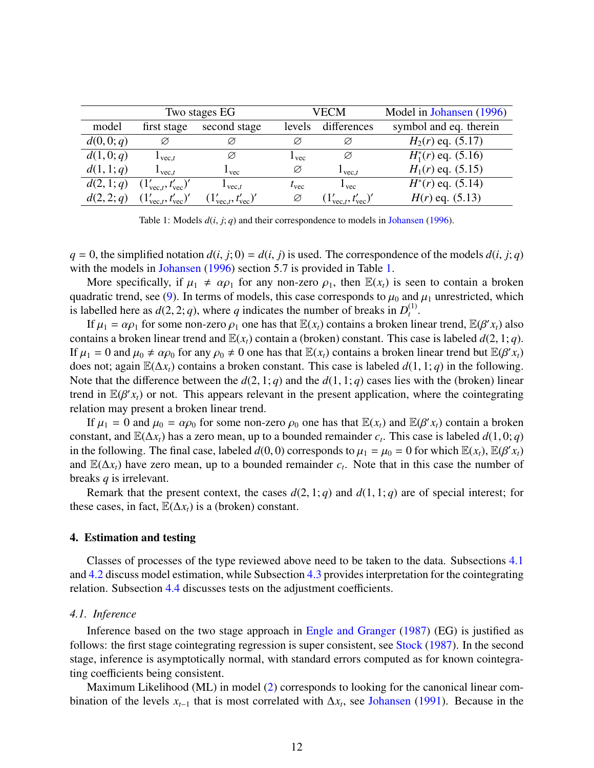|            |                                         | Two stages EG                           |               | VECM                                    | Model in Johansen (1996) |  |  |
|------------|-----------------------------------------|-----------------------------------------|---------------|-----------------------------------------|--------------------------|--|--|
| model      | second stage<br>first stage             |                                         | levels        | differences                             | symbol and eq. therein   |  |  |
| d(0,0;q)   | Ø                                       | Ø                                       | Ø             | Ø                                       | $H_2(r)$ eq. (5.17)      |  |  |
| d(1,0;q)   | $\mathbf{1}_{\text{vec}.t}$             | Ø                                       | $1$ vec       | Ø                                       | $H_1^*(r)$ eq. (5.16)    |  |  |
| d(1, 1; q) | $\mathbf{I}_{\text{vec}.t}$             | 1 <sub>vec</sub>                        | Ø             | $1$ vec $t$                             | $H_1(r)$ eq. (5.15)      |  |  |
| d(2, 1; q) | $(1'_{\text{vec}.t}, t'_{\text{vec}})'$ | $\mathbf{1}_{\text{vec}.t}$             | $t_{\rm vec}$ | $1$ vec                                 | $H^*(r)$ eq. (5.14)      |  |  |
| d(2,2;q)   | $(1'_{\text{vec}.t}, t'_{\text{vec}})'$ | $(1'_{\text{vec}.t}, t'_{\text{vec}})'$ | Ø             | $(1'_{\text{vec}.t}, t'_{\text{vec}})'$ | $H(r)$ eq. (5.13)        |  |  |
|            |                                         |                                         |               |                                         |                          |  |  |

Table 1: Models *<sup>d</sup>*(*i*, *<sup>j</sup>*; *<sup>q</sup>*) and their correspondence to models in Johansen (1996).

 $q = 0$ , the simplified notation  $d(i, j; 0) = d(i, j)$  is used. The correspondence of the models  $d(i, j; q)$ with the models in Johansen (1996) section 5.7 is provided in Table 1.

More specifically, if  $\mu_1 \neq \alpha \rho_1$  for any non-zero  $\rho_1$ , then  $\mathbb{E}(x_t)$  is seen to contain a broken quadratic trend, see (9). In terms of models, this case corresponds to  $\mu_0$  and  $\mu_1$  unrestricted, which is labelled here as  $d(2, 2; q)$ , where *q* indicates the number of breaks in  $D_t^{(1)}$ .<br>If  $\mu_s = \alpha \alpha$ , for some non-zero  $\alpha$ , one has that  $\mathbb{F}(x)$  contains a broken li  $_{t}^{\left( 1\right) }.$ 

If  $\mu_1 = \alpha \rho_1$  for some non-zero  $\rho_1$  one has that  $\mathbb{E}(x_t)$  contains a broken linear trend,  $\mathbb{E}(\beta' x_t)$  also<br>tains a broken linear trend and  $\mathbb{E}(x_t)$  contain a (broken) constant. This case is labeled  $d(2, 1;$ contains a broken linear trend and  $\mathbb{E}(x_t)$  contain a (broken) constant. This case is labeled  $d(2, 1; q)$ . If  $\mu_1 = 0$  and  $\mu_0 \neq \alpha \rho_0$  for any  $\rho_0 \neq 0$  one has that  $\mathbb{E}(x_t)$  contains a broken linear trend but  $\mathbb{E}(\beta' x_t)$ <br>does not: again  $\mathbb{E}(\Lambda x)$  contains a broken constant. This case is labeled  $d(1, 1; a)$  in does not; again <sup>E</sup>(∆*xt*) contains a broken constant. This case is labeled *<sup>d</sup>*(1, 1; *<sup>q</sup>*) in the following. Note that the difference between the  $d(2, 1; q)$  and the  $d(1, 1; q)$  cases lies with the (broken) linear trend in  $\mathbb{E}(\beta' x_t)$  or not. This appears relevant in the present application, where the cointegrating relation may present a broken linear trend relation may present a broken linear trend.

If  $\mu_1 = 0$  and  $\mu_0 = \alpha \rho_0$  for some non-zero  $\rho_0$  one has that  $\mathbb{E}(x_t)$  and  $\mathbb{E}(\beta' x_t)$  contain a broken<br>stant, and  $\mathbb{E}(\Lambda x)$  has a zero mean, up to a bounded remainder c. This case is labeled  $d(1, 0; \alpha)$ constant, and  $\mathbb{E}(\Delta x_t)$  has a zero mean, up to a bounded remainder *c<sub>t</sub>*. This case is labeled *d*(1,0;*q*) in the following. The final case, labeled *d*(0,0) corresponds to  $u_t = u_0 = 0$  for which  $\mathbb{E}(x)$ .  $\mathbb{E}(R$ in the following. The final case, labeled  $d(0, 0)$  corresponds to  $\mu_1 = \mu_0 = 0$  for which  $\mathbb{E}(x_t)$ ,  $\mathbb{E}(\beta' x_t)$ and  $\mathbb{E}(\Delta x_t)$  have zero mean, up to a bounded remainder  $c_t$ . Note that in this case the number of breaks *q* is irrelevant.

Remark that the present context, the cases  $d(2, 1; q)$  and  $d(1, 1; q)$  are of special interest; for these cases, in fact,  $\mathbb{E}(\Delta x_t)$  is a (broken) constant.

#### 4. Estimation and testing

Classes of processes of the type reviewed above need to be taken to the data. Subsections 4.1 and 4.2 discuss model estimation, while Subsection 4.3 provides interpretation for the cointegrating relation. Subsection 4.4 discusses tests on the adjustment coefficients.

#### *4.1. Inference*

Inference based on the two stage approach in Engle and Granger (1987) (EG) is justified as follows: the first stage cointegrating regression is super consistent, see Stock (1987). In the second stage, inference is asymptotically normal, with standard errors computed as for known cointegrating coefficients being consistent.

Maximum Likelihood (ML) in model (2) corresponds to looking for the canonical linear combination of the levels  $x_{t-1}$  that is most correlated with  $\Delta x_t$ , see Johansen (1991). Because in the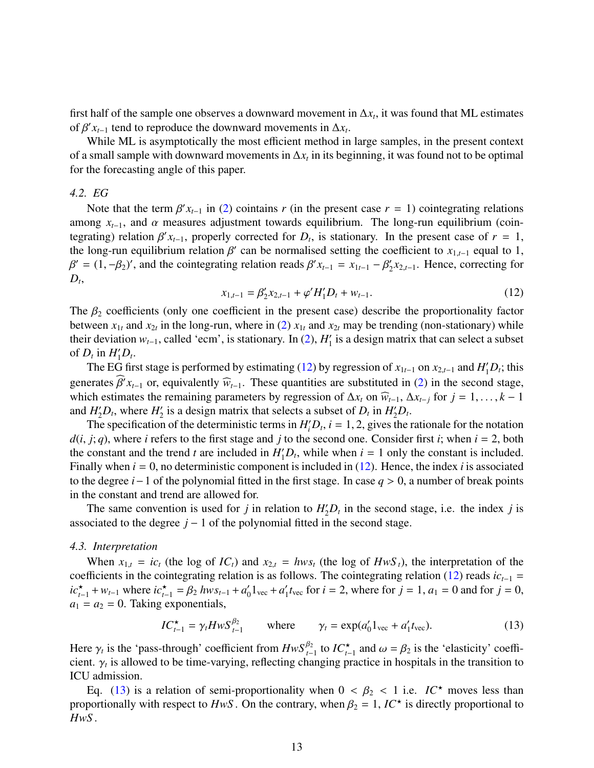first half of the sample one observes a downward movement in  $\Delta x_t$ , it was found that ML estimates of  $\beta' x_{t-1}$  tend to reproduce the downward movements in  $\Delta x_t$ .<br>While MI is asymptotically the most efficient method in

While ML is asymptotically the most efficient method in large samples, in the present context of a small sample with downward movements in ∆*x<sup>t</sup>* in its beginning, it was found not to be optimal for the forecasting angle of this paper.

## *4.2. EG*

Note that the term  $\beta' x_{t-1}$  in (2) cointains *r* (in the present case *r* = 1) cointegrating relations ong *x*  $\alpha$  and  $\alpha$  measures adjustment towards equilibrium. The long-run equilibrium (coinamong  $x_{t-1}$ , and  $\alpha$  measures adjustment towards equilibrium. The long-run equilibrium (cointegrating) relation  $\beta' x_{t-1}$ , properly corrected for *D<sub>t</sub>*, is stationary. In the present case of *r* = 1, the long-run equilibrium relation  $\beta'$  can be pormalised setting the coefficient to  $x_{t-1}$  equal to 1 the long-run equilibrium relation  $\beta'$  can be normalised setting the coefficient to  $x_{1,t-1}$  equal to 1,<br> $\beta' = (1 - \beta_0)'$  and the cointegrating relation reads  $\beta'$   $x_{1,t-1} = x_{1,t-1} - \beta'$   $x_{2,t-1}$  Hence correcting for  $D_t$  $\beta'$  = (1, - $\beta_2$ )', and the cointegrating relation reads  $\beta'$  *x*<sub>*t*-1</sub> = *x*<sub>1*t*-1</sub> -  $\beta'_2$  $\int_2^t x_{2,t-1}$ . Hence, correcting for

$$
x_{1,t-1} = \beta_2' x_{2,t-1} + \varphi' H_1' D_t + w_{t-1}.
$$
\n(12)

The  $\beta_2$  coefficients (only one coefficient in the present case) describe the proportionality factor between  $x_{1t}$  and  $x_{2t}$  in the long-run, where in (2)  $x_{1t}$  and  $x_{2t}$  may be trending (non-stationary) while their deviation  $w_{t-1}$ , called 'ecm', is stationary. In (2),  $H_1'$  $i_1$  is a design matrix that can select a subset of  $D_t$  in  $H_1 D_t$ .

The EG first stage is performed by estimating (12) by regression of  $x_{1t-1}$  on  $x_{2,t-1}$  and  $H_1'D_t$ ; this generates  $\hat{\beta}' x_{t-1}$  or, equivalently  $\hat{w}_{t-1}$ . These quantities are substituted in (2) in the second stage, which estimates the remaining parameters by regression of  $\Delta x$  on  $\hat{w}$  and  $\Delta x$  at for  $i = 1$ ,  $k = 1$ which estimates the remaining parameters by regression of  $\Delta x_t$  on  $\widehat{w}_{t-1}$ ,  $\Delta x_{t-1}$  for  $j = 1, \ldots, k - 1$ and  $H_2'D_t$ , where  $H_2'$  $\frac{1}{2}$  is a design matrix that selects a subset of  $D_t$  in  $H_2D_t$ .

The specification of the deterministic terms in  $H_i'D_t$ ,  $i = 1, 2$ , gives the rationale for the notation  $\vec{i}$ : *a*) where  $\vec{i}$  refers to the first stage and  $\vec{i}$  to the second one. Consider first  $\vec{i}$ : when  $\vec{i} =$  $d(i, j; q)$ , where *i* refers to the first stage and *j* to the second one. Consider first *i*; when  $i = 2$ , both the constant and the trend *t* are included in  $H_1 D_t$ , while when  $i = 1$  only the constant is included. Finally when *i* = 0, no deterministic component is included in (12). Hence, the index *i* is associated to the degree *<sup>i</sup>*−1 of the polynomial fitted in the first stage. In case *<sup>q</sup>* > 0, a number of break points in the constant and trend are allowed for.

The same convention is used for *j* in relation to  $H_2'D_t$  in the second stage, i.e. the index *j* is associated to the degree  $j - 1$  of the polynomial fitted in the second stage.

#### *4.3. Interpretation*

When  $x_{1,t} = ic_t$  (the log of  $IC_t$ ) and  $x_{2,t} = hw_s$  (the log of  $Hw_s$ ), the interpretation of the coefficients in the cointegrating relation is as follows. The cointegrating relation (12) reads  $ic_{t-1}$  =  $ic_{t-1}^{*} + w_{t-1}$  where  $ic_{t-1}^{*} = \beta_2 hws_{t-1} + a_0^{*}$  $a'_0 1_{\text{vec}} + a'_1$  $t_1$  *t*<sub>vec</sub> for *i* = 2, where for *j* = 1, *a*<sub>1</sub> = 0 and for *j* = 0,  $a_1 = a_2 = 0$ . Taking exponentials,

$$
IC_{t-1}^{\star} = \gamma_t H w S_{t-1}^{\beta_2} \qquad \text{where} \qquad \gamma_t = \exp(a_0' 1_{\text{vec}} + a_1' t_{\text{vec}}). \tag{13}
$$

Here  $\gamma_t$  is the 'pass-through' coefficient from  $HwS_{t-1}^{\beta_2}$  to  $IC_{t-1}^{\star}$  and  $\omega = \beta_2$  is the 'elasticity' coeffi-<br>cient  $\gamma_t$  is allowed to be time-varying reflecting changing practice in bospitals in the trans cient.  $\gamma_t$  is allowed to be time-varying, reflecting changing practice in hospitals in the transition to  $ICU$  admission ICU admission.

Eq. (13) is a relation of semi-proportionality when  $0 < \beta_2 < 1$  i.e.  $IC^*$  moves less than proportionally with respect to  $HwS$ . On the contrary, when  $\beta_2 = 1$ ,  $IC^*$  is directly proportional to  $HwS$ *HwS* .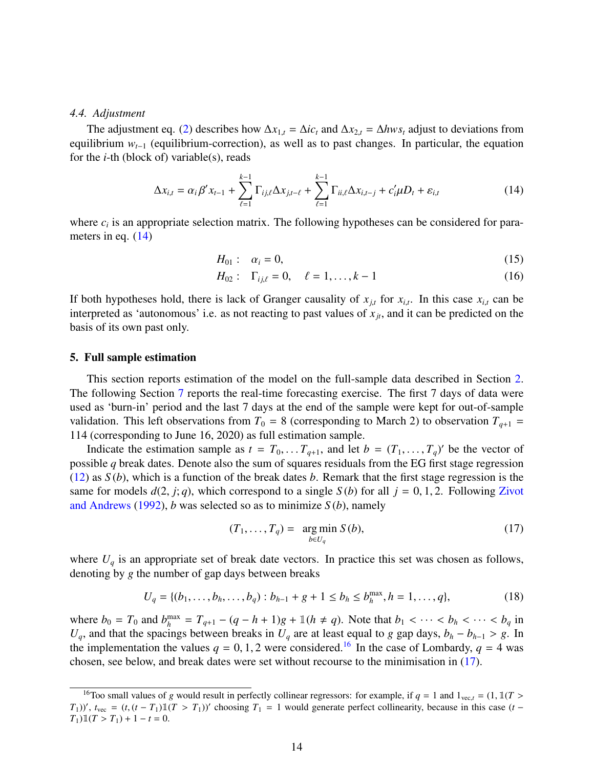#### *4.4. Adjustment*

The adjustment eq. (2) describes how  $\Delta x_{1,t} = \Delta i c_t$  and  $\Delta x_{2,t} = \Delta h w s_t$  adjust to deviations from equilibrium *wt*−<sup>1</sup> (equilibrium-correction), as well as to past changes. In particular, the equation for the *i*-th (block of) variable(s), reads

$$
\Delta x_{i,t} = \alpha_i \beta' x_{t-1} + \sum_{\ell=1}^{k-1} \Gamma_{ij,\ell} \Delta x_{j,t-\ell} + \sum_{\ell=1}^{k-1} \Gamma_{ii,\ell} \Delta x_{i,t-j} + c'_i \mu D_t + \varepsilon_{i,t}
$$
(14)

where  $c_i$  is an appropriate selection matrix. The following hypotheses can be considered for parameters in eq.  $(14)$ 

$$
H_{01}: \quad \alpha_i = 0,\tag{15}
$$

$$
H_{02}: \quad \Gamma_{ij,\ell} = 0, \quad \ell = 1, \dots, k-1 \tag{16}
$$

If both hypotheses hold, there is lack of Granger causality of  $x_{j,t}$  for  $x_{i,t}$ . In this case  $x_{i,t}$  can be intermeded as 'entercompany' i.e. as not reseture to next values of  $y$ , and it can be needicted as the interpreted as 'autonomous' i.e. as not reacting to past values of  $x_{jt}$ , and it can be predicted on the basis of its own past only.

#### 5. Full sample estimation

This section reports estimation of the model on the full-sample data described in Section 2. The following Section 7 reports the real-time forecasting exercise. The first 7 days of data were used as 'burn-in' period and the last 7 days at the end of the sample were kept for out-of-sample validation. This left observations from  $T_0 = 8$  (corresponding to March 2) to observation  $T_{q+1} =$ 114 (corresponding to June 16, 2020) as full estimation sample.

Indicate the estimation sample as  $t = T_0, \ldots, T_{q+1}$ , and let  $b = (T_1, \ldots, T_q)'$  be the vector of side *a* break dates. Denote also the sum of squares residuals from the EG first stage regression possible *q* break dates. Denote also the sum of squares residuals from the EG first stage regression (12) as *S* (*b*), which is a function of the break dates *b*. Remark that the first stage regression is the same for models  $d(2, j; q)$ , which correspond to a single  $S(b)$  for all  $j = 0, 1, 2$ . Following Zivot and Andrews (1992), *b* was selected so as to minimize *S* (*b*), namely

$$
(T_1, \ldots, T_q) = \underset{b \in U_q}{\arg \min} S(b), \tag{17}
$$

where  $U_q$  is an appropriate set of break date vectors. In practice this set was chosen as follows, denoting by *g* the number of gap days between breaks

$$
U_q = \{(b_1, \dots, b_h, \dots, b_q) : b_{h-1} + g + 1 \le b_h \le b_h^{\max}, h = 1, \dots, q\},\tag{18}
$$

where  $b_0 = T_0$  and  $b_h^{\text{max}}$  $\lim_{h}$   $T_{q+1} - (q - h + 1)g + \mathbb{1}(h \neq q)$ . Note that  $b_1 < \cdots < b_h < \cdots < b_q$  in ings between breaks in *II* are at least equal to *q* gan days  $b_1 - b_1$   $\rightarrow$   $a_2$  In *U*<sup>*q*</sup>, and that the spacings between breaks in *U*<sup>*q*</sup> are at least equal to *g* gap days,  $b_h - b_{h-1} > g$ . In the implementation the values  $q = 0, 1, 2$  were considered.<sup>16</sup> In the case of Lombardy,  $q = 4$  was chosen, see below, and break dates were set without recourse to the minimisation in (17).

<sup>&</sup>lt;sup>16</sup>Too small values of *g* would result in perfectly collinear regressors: for example, if  $q = 1$  and  $1_{vec} = (1, 1(T > 1))$  $(T_1)$ )',  $t_{\text{vec}} = (t, (t - T_1) \mathbb{1}(T > T_1))'$  choosing  $T_1 = 1$  would generate perfect collinearity, because in this case  $(t - T_1) \mathbb{1}(T > T_1) + 1 = t - 0$  $T_1) \mathbb{1}(T > T_1) + 1 - t = 0.$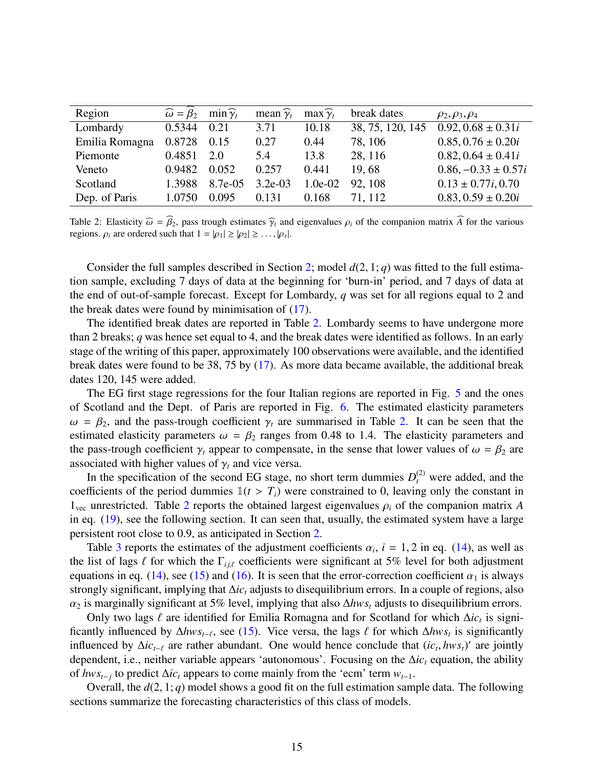| Region         | $\widehat{\omega} = \widehat{\beta}_2$ | $\min \widehat{\gamma}_t$ | mean $\widehat{\gamma}_t$ | $max \hat{\gamma}_t$ | break dates      | $\rho_2, \rho_3, \rho_4$ |
|----------------|----------------------------------------|---------------------------|---------------------------|----------------------|------------------|--------------------------|
| Lombardy       | 0.5344                                 | 0.21                      | 3.71                      | 10.18                | 38, 75, 120, 145 | $0.92, 0.68 \pm 0.31i$   |
| Emilia Romagna | 0.8728                                 | 0.15                      | 0.27                      | 0.44                 | 78, 106          | $0.85, 0.76 \pm 0.20i$   |
| Piemonte       | 0.4851                                 | 2.0                       | 5.4                       | 13.8                 | 28, 116          | $0.82, 0.64 \pm 0.41i$   |
| Veneto         | 0.9482                                 | 0.052                     | 0.257                     | 0.441                | 19.68            | $0.86, -0.33 \pm 0.57i$  |
| Scotland       | 1.3988                                 | 8.7e-05                   | $3.2e-03$                 | $1.0e-02$            | 92, 108          | $0.13 \pm 0.77i, 0.70$   |
| Dep. of Paris  | 1.0750                                 | 0.095                     | 0.131                     | 0.168                | 71, 112          | $0.83, 0.59 \pm 0.20i$   |
|                |                                        |                           |                           |                      |                  |                          |

Table 2: Elasticity  $\widehat{\omega} = \widehat{\beta}_2$ , pass trough estimates  $\widehat{\gamma}_t$  and eigenvalues  $\rho_i$  of the companion matrix  $\widehat{A}$  for the various regions.  $\rho_i$  are ordered such that  $1 = |\rho_1| \ge |\rho_2| \ge \dots, |\rho_s|$ .

Consider the full samples described in Section 2; model  $d(2, 1; q)$  was fitted to the full estimation sample, excluding 7 days of data at the beginning for 'burn-in' period, and 7 days of data at the end of out-of-sample forecast. Except for Lombardy, *q* was set for all regions equal to 2 and the break dates were found by minimisation of (17).

The identified break dates are reported in Table 2. Lombardy seems to have undergone more than 2 breaks; *q* was hence set equal to 4, and the break dates were identified as follows. In an early stage of the writing of this paper, approximately 100 observations were available, and the identified break dates were found to be 38, 75 by (17). As more data became available, the additional break dates 120, 145 were added.

The EG first stage regressions for the four Italian regions are reported in Fig. 5 and the ones of Scotland and the Dept. of Paris are reported in Fig. 6. The estimated elasticity parameters  $\omega = \beta_2$ , and the pass-trough coefficient  $\gamma_t$  are summarised in Table 2. It can be seen that the estimated elasticity parameters  $\omega = \beta_2$  ranges from 0.48 to 1.4. The elasticity parameters and the pass-trough coefficient  $\gamma_t$  appear to compensate, in the sense that lower values of  $\omega = \beta_2$  are associated with higher values of  $\gamma_t$  and vice versa.

In the specification of the second EG stage, no short term dummies  $D_t^{(2)}$  were added, and the coefficients of the period dummies  $\mathbb{1}(t > T_i)$  were constrained to 0, leaving only the constant in  $1_{\text{vec}}$  unrestricted. Table 2 reports the obtained largest eigenvalues  $\rho_i$  of the companion matrix *A* in eq. (19), see the following section. It can seen that, usually, the estimated system have a large persistent root close to 0.9, as anticipated in Section 2.

Table 3 reports the estimates of the adjustment coefficients  $\alpha_i$ ,  $i = 1, 2$  in eq. (14), as well as list of lags  $\ell$  for which the  $\Gamma_{\text{tot}}$  coefficients were significant at 5% level for both adjustment the list of lags  $\ell$  for which the  $\Gamma_{i j, \ell}$  coefficients were significant at 5% level for both adjustment equations in eq. (14), see (15) and (16). It is seen that the error-correction coefficient  $\alpha_1$  is always strongly significant, implying that ∆*ic<sup>t</sup>* adjusts to disequilibrium errors. In a couple of regions, also <sup>α</sup><sup>2</sup> is marginally significant at 5% level, implying that also <sup>∆</sup>*hws<sup>t</sup>* adjusts to disequilibrium errors.

Only two lags  $\ell$  are identified for Emilia Romagna and for Scotland for which  $\Delta i c_t$  is signi-<br>only influenced by Ahws,  $\epsilon$  see (15). Vice versa, the lags  $\ell$  for which Ahws, is significantly ficantly influenced by  $\Delta hws_t$ <sub>−</sub> $\epsilon$ , see (15). Vice versa, the lags  $\ell$  for which  $\Delta hws_t$  is significantly influenced by  $\Delta i$ <sub>c</sub>, are rather abundant. One would hence conclude that *(ic, hws*)' are jointly influenced by  $\Delta i c_{t-\ell}$  are rather abundant. One would hence conclude that  $(i c_t, h w s_t)'$  are jointly dependent i.e. perther variable appears 'autonomous'. Focusing on the  $\Delta i c$  equation, the ability dependent, i.e., neither variable appears 'autonomous'. Focusing on the ∆*ic<sup>t</sup>* equation, the ability of *hwst*−*<sup>j</sup>* to predict ∆*ic<sup>t</sup>* appears to come mainly from the 'ecm' term *wt*−1.

Overall, the *<sup>d</sup>*(2, 1; *<sup>q</sup>*) model shows a good fit on the full estimation sample data. The following sections summarize the forecasting characteristics of this class of models.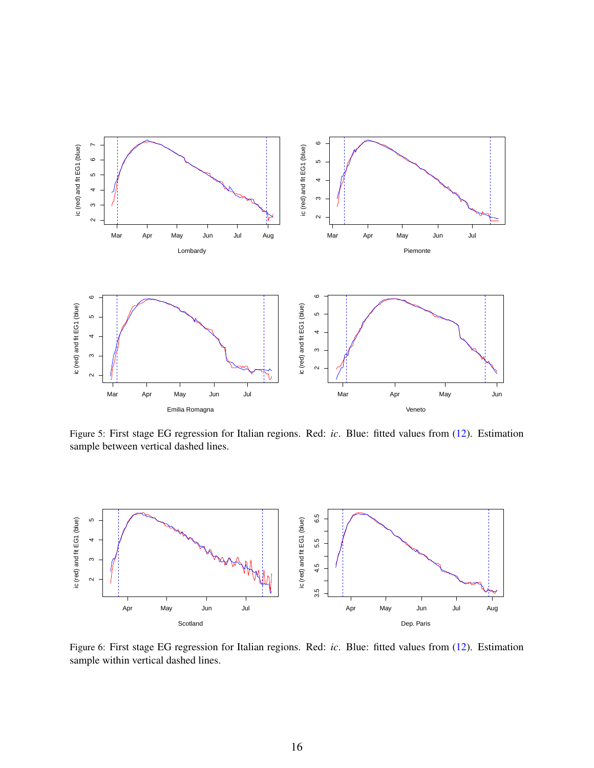

Figure 5: First stage EG regression for Italian regions. Red: *ic*. Blue: fitted values from (12). Estimation sample between vertical dashed lines.



Figure 6: First stage EG regression for Italian regions. Red: *ic*. Blue: fitted values from (12). Estimation sample within vertical dashed lines.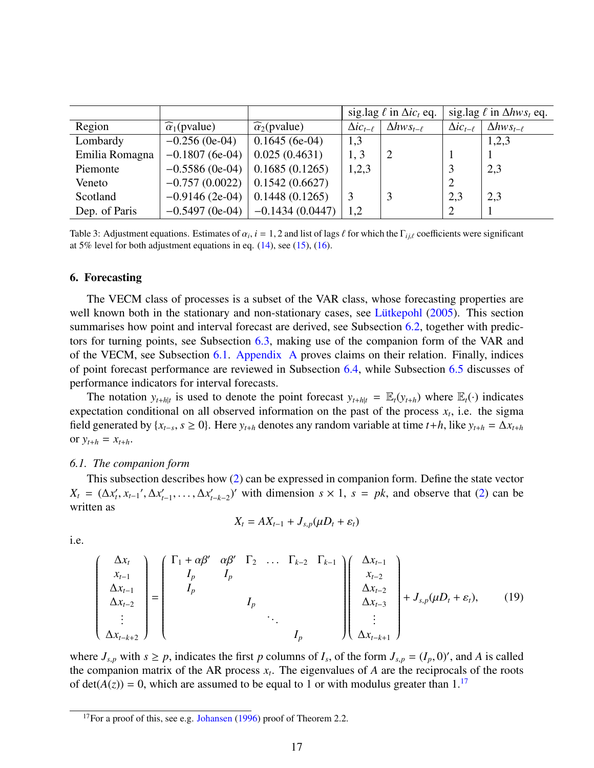|                |                               |                               | sig.lag $\ell$ in $\Delta i c_t$ eq. |                       |                       | sig.lag $\ell$ in $\Delta hws_t$ eq. |
|----------------|-------------------------------|-------------------------------|--------------------------------------|-----------------------|-----------------------|--------------------------------------|
| Region         | $\widehat{\alpha}_1$ (pvalue) | $\widehat{\alpha}_2$ (pvalue) | $\Delta i c_{t-\ell}$                | $\Delta hws_{t-\ell}$ | $\Delta i c_{t-\ell}$ | $\Delta hws_{t-\ell}$                |
| Lombardy       | $-0.256$ (0e-04)              | $0.1645(6e-04)$               | 1,3                                  |                       |                       | 1,2,3                                |
| Emilia Romagna | $-0.1807(6e-04)$              | 0.025(0.4631)                 | 1, 3                                 |                       |                       |                                      |
| Piemonte       | $-0.5586$ (0e-04)             | 0.1685(0.1265)                | 1,2,3                                |                       |                       | 2,3                                  |
| Veneto         | $-0.757(0.0022)$              | 0.1542(0.6627)                |                                      |                       |                       |                                      |
| Scotland       | $-0.9146(2e-04)$              | 0.1448(0.1265)                |                                      |                       | 2,3                   | 2,3                                  |
| Dep. of Paris  | $-0.5497$ (0e-04)             | $-0.1434(0.0447)$             | 1,2                                  |                       |                       |                                      |

Table 3: Adjustment equations. Estimates of  $\alpha_i$ ,  $i = 1, 2$  and list of lags  $\ell$  for which the  $\Gamma_{ij,\ell}$  coefficients were significant at 5% level for both adjustment equations in eq. (14), see (15) (16) at 5% level for both adjustment equations in eq.  $(14)$ , see  $(15)$ ,  $(16)$ .

#### 6. Forecasting

The VECM class of processes is a subset of the VAR class, whose forecasting properties are well known both in the stationary and non-stationary cases, see Lütkepohl  $(2005)$ . This section summarises how point and interval forecast are derived, see Subsection 6.2, together with predictors for turning points, see Subsection 6.3, making use of the companion form of the VAR and of the VECM, see Subsection 6.1. Appendix A proves claims on their relation. Finally, indices of point forecast performance are reviewed in Subsection 6.4, while Subsection 6.5 discusses of performance indicators for interval forecasts.

The notation  $y_{t+h|t}$  is used to denote the point forecast  $y_{t+h|t} = \mathbb{E}_t(y_{t+h})$  where  $\mathbb{E}_t(\cdot)$  indicates expectation conditional on all observed information on the past of the process  $x_t$ , i.e. the sigma field generated by  $\{x_{t-s}, s \ge 0\}$ . Here  $y_{t+h}$  denotes any random variable at time  $t+h$ , like  $y_{t+h} = \Delta x_{t+h}$ or  $y_{t+h} = x_{t+h}$ .

## *6.1. The companion form*

This subsection describes how (2) can be expressed in companion form. Define the state vector  $X_t = (\Delta x'_t, x_{t-1}', \Delta x'_t)$  $\lambda'_{t-1}, \ldots, \Delta x'_{t}$  $(t<sub>1-k-2</sub>)'$  with dimension *s* × 1, *s* = *pk*, and observe that (2) can be written as

$$
X_t = AX_{t-1} + J_{s,p}(\mu D_t + \varepsilon_t)
$$

i.e.

$$
\begin{pmatrix}\n\Delta x_t \\
x_{t-1} \\
\Delta x_{t-1} \\
\Delta x_{t-2} \\
\vdots \\
\Delta x_{t-k+2}\n\end{pmatrix} = \begin{pmatrix}\n\Gamma_1 + \alpha \beta' & \alpha \beta' & \Gamma_2 & \dots & \Gamma_{k-2} & \Gamma_{k-1} \\
I_p & I_p & & & \\
I_p & & & & \\
& \ddots & & & \\
& & & I_p & \\
& & & & I_p\n\end{pmatrix} \begin{pmatrix}\n\Delta x_{t-1} \\
x_{t-2} \\
\Delta x_{t-3} \\
\Delta x_{t-3} \\
\vdots \\
\Delta x_{t-k+1}\n\end{pmatrix} + J_{s,p}(\mu D_t + \varepsilon_t), \quad (19)
$$

where  $J_{s,p}$  with  $s \ge p$ , indicates the first *p* columns of  $I_s$ , of the form  $J_{s,p} = (I_p, 0)$ ', and *A* is called<br>the companion matrix of the AR process *x*. The eigenvalues of *A* are the reciprocals of the roots the companion matrix of the AR process  $x_t$ . The eigenvalues of A are the reciprocals of the roots of det( $A(z)$ ) = 0, which are assumed to be equal to 1 or with modulus greater than 1.<sup>17</sup>

<sup>&</sup>lt;sup>17</sup>For a proof of this, see e.g. Johansen (1996) proof of Theorem 2.2.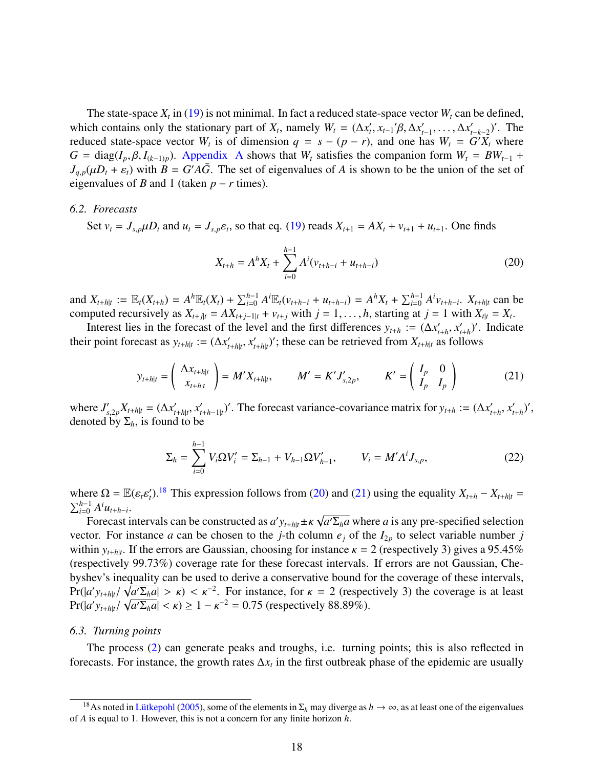The state-space  $X_t$  in (19) is not minimal. In fact a reduced state-space vector  $W_t$  can be defined, which contains only the stationary part of *X<sub>t</sub>*, namely  $W_t = (\Delta x'_t, x_{t-1}/\beta, \Delta x'_t)$ <br>reduced state-space vector *W* is of dimension  $a = s - (n - r)$  and one h *t*<sub>t−1</sub>, . . . , ∆*x'*<sub>*t*</sub><br>238</sub> *W* – *C*  $t<sub>−k−2</sub>$ )'. The reduced state-space vector  $W_t$  is of dimension  $q = s - (p - r)$ , and one has  $W_t = G'X_t$  where  $G = \text{diag}(I_p, \beta, I_{(k-1)p})$ . Appendix A shows that  $W_t$  satisfies the companion form  $W_t = BW_{t-1}$  +  $J_{q,p}(\mu D_t + \varepsilon_t)$  with  $B = G' A \bar{G}$ . The set of eigenvalues of *A* is shown to be the union of the set of eigenvalues of *B* and 1 (taken *n* – *r* times) eigenvalues of *B* and 1 (taken  $p - r$  times).

#### *6.2. Forecasts*

Set  $v_t = J_{s,p} \mu D_t$  and  $u_t = J_{s,p} \varepsilon_t$ , so that eq. (19) reads  $X_{t+1} = AX_t + v_{t+1} + u_{t+1}$ . One finds

$$
X_{t+h} = A^h X_t + \sum_{i=0}^{h-1} A^i (v_{t+h-i} + u_{t+h-i})
$$
 (20)

and  $X_{t+h|t} := \mathbb{E}_t(X_{t+h}) = A^h \mathbb{E}_t(X_t) + \sum_{i=0}^{h-1} A^i \mathbb{E}_t(\nu_{t+h-i} + u_{t+h-i}) = A^h X_t + \sum_{i=0}^{h-1} A^i \nu_{t+h-i}$ .  $X_{t+h|t}$  can be computed recursively as  $X_{t+j|t} = AX_{t+j-1|t} + v_{t+j}$  with  $j = 1, ..., h$ , starting at  $j = 1$  with  $X_{t|t} = X_t$ .<br>Interest lies in the forecast of the level and the first differences  $y_{t+1} := (Ay' - x')'$ . Indical

Interest lies in the forecast of the level and the first differences  $y_{t+h}$  := ( $\Delta x'_{t}$  $\sum_{t+h}^{\prime}$ ,  $x_t^{\prime}$  $t_{th}$ <sup>'</sup>. Indicate their point forecast as  $y_{t+h|t} := (\Delta x_t)$  $\sum_{t+h|t}^{\prime}, \, x_t^{\prime}$  $\mathcal{L}_{t+h|t}$ '; these can be retrieved from  $X_{t+h|t}$  as follows

$$
y_{t+h|t} = \begin{pmatrix} \Delta x_{t+h|t} \\ x_{t+h|t} \end{pmatrix} = M'X_{t+h|t}, \qquad M' = K'J'_{s,2p}, \qquad K' = \begin{pmatrix} I_p & 0 \\ I_p & I_p \end{pmatrix}
$$
(21)

where  $J'_{s}$  $\sum_{s,2p}^{'} X_{t+h|t} = (\Delta x_t')$  $\sum_{t+h|t}^{\prime}$ ,  $\sum_{t}^{\prime}$  $(t<sub>t+h-1|t</sub>)'$ . The forecast variance-covariance matrix for  $y<sub>t+h</sub> := (\Delta x'_t)$  $x'_{t+h}$ ,  $x'_{t}$  $t_{t+h}^{\prime})^{\prime}$ denoted by  $\Sigma_h$ , is found to be

$$
\Sigma_h = \sum_{i=0}^{h-1} V_i \Omega V'_i = \Sigma_{h-1} + V_{h-1} \Omega V'_{h-1}, \qquad V_i = M' A^i J_{s,p}, \qquad (22)
$$

where  $\Omega = \mathbb{E}(\varepsilon_t \varepsilon'_t)$ .<sup>18</sup> This expression follows from (20) and (21) using the equality  $X_{t+h} - X_{t+h|t} = \sum_{k=1}^{h-1} A_{t,k}^i$  $\sum_{i=0}^{h-1} A^i u_{t+h-i}$ √

Forecast intervals can be constructed as  $a' y_{t+h|t} \pm \kappa$  $\overline{a' \Sigma_h a}$  where *a* is any pre-specified selection vector. For instance *a* can be chosen to the *j*-th column  $e_j$  of the  $I_{2p}$  to select variable number *j* within  $y_{t+h|t}$ . If the errors are Gaussian, choosing for instance  $\kappa = 2$  (respectively 3) gives a 95.45% (respectively 90.73%) coverage rate for these forecast intervals. If errors are not Gaussian, Che-(respectively 99.73%) coverage rate for these forecast intervals. If errors are not Gaussian, Chebyshev's inequality can be used to derive a conservative bound for the coverage of these intervals,  $Pr(|a'y_{t+h|t}/\sqrt{a'\Sigma_h a}| > \kappa) < \kappa^{-2}$ . For instance, for  $\kappa = 2$  (respectively 3) the coverage is at least  $Pr(|a'y_{t+h|t}/\sqrt{a'\Sigma_h a}| < \kappa) > 1 - \kappa^{-2} = 0.75$  (respectively 88,89%)  $Pr(|a'y_{t+h|t}/\sqrt{a'\Sigma_h a}| < \kappa) \ge 1 - \kappa^{-2} = 0.75$  (respectively 88.89%).

#### *6.3. Turning points*

The process (2) can generate peaks and troughs, i.e. turning points; this is also reflected in forecasts. For instance, the growth rates ∆*x<sup>t</sup>* in the first outbreak phase of the epidemic are usually

<sup>&</sup>lt;sup>18</sup>As noted in Lütkepohl (2005), some of the elements in  $\Sigma_h$  may diverge as  $h \to \infty$ , as at least one of the eigenvalues of *A* is equal to 1. However, this is not a concern for any finite horizon *h*.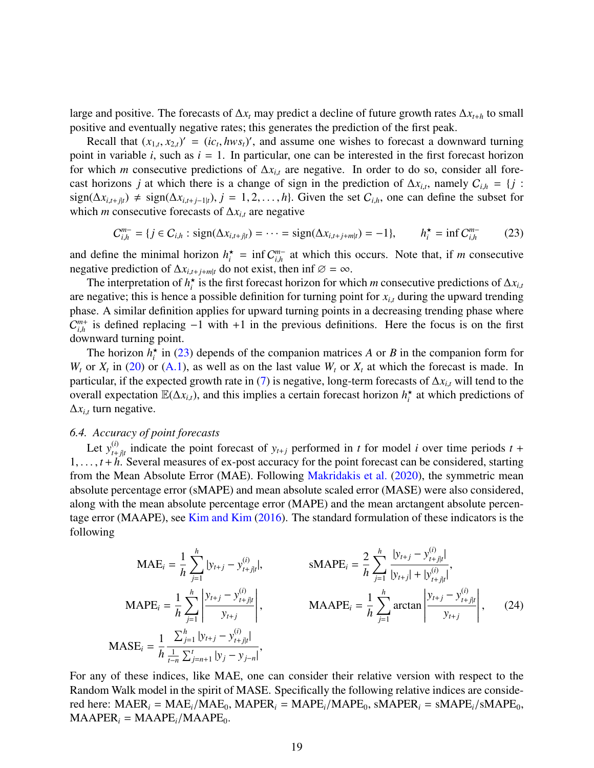large and positive. The forecasts of ∆*x<sup>t</sup>* may predict a decline of future growth rates ∆*x<sup>t</sup>*+*<sup>h</sup>* to small positive and eventually negative rates; this generates the prediction of the first peak.

Recall that  $(x_{1,t}, x_{2,t})' = (ic_t, hws_t)'$ , and assume one wishes to forecast a downward turning<br>at in variable *i*, such as  $i = 1$ . In particular, one can be interested in the first forecast horizon point in variable  $i$ , such as  $i = 1$ . In particular, one can be interested in the first forecast horizon for which *m* consecutive predictions of  $\Delta x_{i,t}$  are negative. In order to do so, consider all forecast horizons *j* at which there is a change of sign in the prediction of  $\Delta x_{i,t}$ , namely  $C_{i,h} = \{j :$ <br> $j \in \mathbb{R}^n$ sign( $\Delta x$ <sub>*i*,*t*+*j*<sub>t</sub></sub>) ≠ sign( $\Delta x$ <sub>*i*,*t*+*j*−1|*t*</sub>), *j* = 1, 2, . . . , *h*}. Given the set  $C$ <sub>*i*,*h*</sub>, one can define the subset for which *<sup>m</sup>* consecutive forecasts of <sup>∆</sup>*x<sup>i</sup>*,*<sup>t</sup>* are negative

$$
C_{i,h}^{m-} = \{ j \in C_{i,h} : \text{sign}(\Delta x_{i,t+j|t}) = \dots = \text{sign}(\Delta x_{i,t+j+m|t}) = -1 \}, \qquad h_i^* = \inf C_{i,h}^{m-} \tag{23}
$$

and define the minimal horizon  $h_i^* = \inf C_{i,h}^{m-}$  at which this occurs. Note that, if *m* consecutive regative prediction of  $\Delta x_{i,t+j+m|t}$  do not exist, then inf  $\emptyset = \infty$ .

The interpretation of  $h_t^*$  is the first forecast horizon for which *m* consecutive predictions of  $\Delta x_i$ ,  $\Delta x_i$ , are negative; this is hence a possible definition for turning point for *<sup>x</sup><sup>i</sup>*,*<sup>t</sup>* during the upward trending phase. A similar definition applies for upward turning points in a decreasing trending phase where  $C_{i,h}^{m+}$  is defined replacing  $-1$  with  $+1$  in the previous definitions. Here the focus is on the first  $\mathbf{c}_{i,h}$  is defined replacing<br>downward turning point.

The horizon  $h_i^*$  in (23) depends of the companion matrices *A* or *B* in the companion form for  $W_t$  or  $X_t$  in (20) or (A.1), as well as on the last value  $W_t$  or  $X_t$  at which the forecast is made. In particular, if the expected growth rate in (7) is negative, long-term forecasts of <sup>∆</sup>*x<sup>i</sup>*,*<sup>t</sup>* will tend to the overall expectation  $\mathbb{E}(\Delta x_{i,t})$ , and this implies a certain forecast horizon  $h_i^*$  at which predictions of  $\Delta x_{i,t}$  turn negative.

## *6.4. Accuracy of point forecasts*

Let  $y_{t+}^{(i)}$  $t_{t+j|t}$  indicate the point forecast of  $y_{t+j}$  performed in *t* for model *i* over time periods *t* + <sup>1</sup>, . . . , *<sup>t</sup>* <sup>+</sup>*h*. Several measures of ex-post accuracy for the point forecast can be considered, starting from the Mean Absolute Error (MAE). Following Makridakis et al. (2020), the symmetric mean absolute percentage error (sMAPE) and mean absolute scaled error (MASE) were also considered, along with the mean absolute percentage error (MAPE) and the mean arctangent absolute percentage error (MAAPE), see Kim and Kim (2016). The standard formulation of these indicators is the following

$$
\text{MAE}_{i} = \frac{1}{h} \sum_{j=1}^{h} |y_{t+j} - y_{t+j|t}^{(i)}|, \qquad \text{sMAPE}_{i} = \frac{2}{h} \sum_{j=1}^{h} \frac{|y_{t+j} - y_{t+j|t}^{(i)}|}{|y_{t+j}| + |y_{t+j|t}^{(i)}|},
$$
\n
$$
\text{MAPE}_{i} = \frac{1}{h} \sum_{j=1}^{h} \left| \frac{y_{t+j} - y_{t+j|t}^{(i)}}{y_{t+j}} \right|, \qquad \text{MAAPE}_{i} = \frac{1}{h} \sum_{j=1}^{h} \arctan \left| \frac{y_{t+j} - y_{t+j|t}^{(i)}}{y_{t+j}} \right|, \qquad (24)
$$
\n
$$
\text{MASE}_{i} = \frac{1}{h} \frac{\sum_{j=1}^{h} |y_{t+j} - y_{t+j|t}^{(i)}|}{\sum_{j=n+1}^{h} |y_{j} - y_{j-n}|},
$$

For any of these indices, like MAE, one can consider their relative version with respect to the Random Walk model in the spirit of MASE. Specifically the following relative indices are considered here:  $\text{MAER}_i = \text{MAE}_i/\text{MAE}_0$ ,  $\text{MAPER}_i = \text{MAPE}_i/\text{MAPE}_0$ ,  $\text{SMAPER}_i = \text{SMAPE}_i/\text{SMAPE}_0$ ,  $MAAPER_i = MAAPE_i/MAAPE_0$ .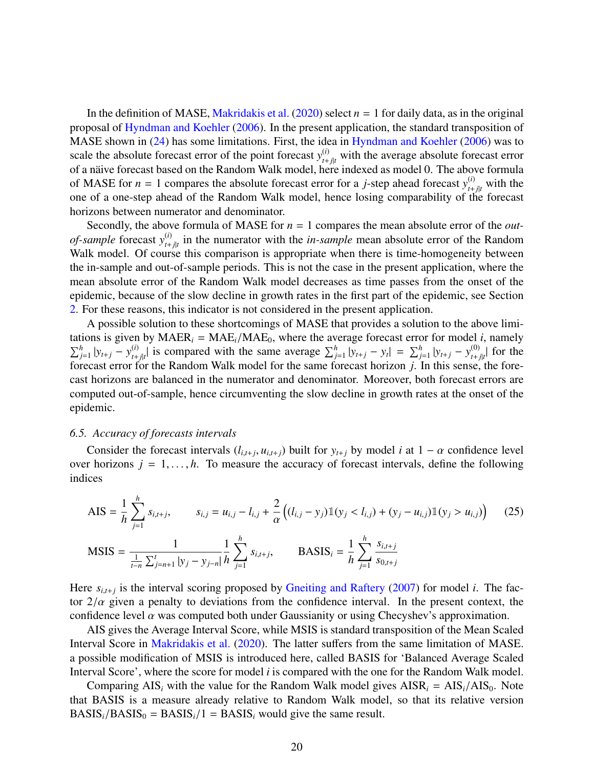In the definition of MASE, Makridakis et al. (2020) select  $n = 1$  for daily data, as in the original proposal of Hyndman and Koehler (2006). In the present application, the standard transposition of MASE shown in (24) has some limitations. First, the idea in Hyndman and Koehler (2006) was to scale the absolute forecast error of the point forecast  $y_{t+j|t}^{(i)}$  with the average absolute forecast error of a näive forecast based on the Random Walk model, here indexed as model 0. The above formula of MASE for  $n = 1$  compares the absolute forecast error for a *j*-step ahead forecast  $y_{t+j|t}^{(i)}$  with the one of a one-step ahead of the Random Walk model, hence losing comparability of the forecast horizons between numerator and denominator.

Secondly, the above formula of MASE for *n* = 1 compares the mean absolute error of the *outof-sample* forecast *y* (*i*)  $t_{t+j|t}^{(t)}$  in the numerator with the *in-sample* mean absolute error of the Random Walk model. Of course this comparison is appropriate when there is time-homogeneity between the in-sample and out-of-sample periods. This is not the case in the present application, where the mean absolute error of the Random Walk model decreases as time passes from the onset of the epidemic, because of the slow decline in growth rates in the first part of the epidemic, see Section 2. For these reasons, this indicator is not considered in the present application.

A possible solution to these shortcomings of MASE that provides a solution to the above limitations is given by  $MAER_i = MAE_i/MAE_0$ , where the average forecast error for model *i*, namely  $\sum_{j=1}^{h} |y_{t+j} - y_{t+}^{(i)}|$  $\sum_{j=1}^{h} |y_{t+j} - y_t| = \sum_{j=1}^{h} |y_{t+j} - y_t|$  =  $\sum_{j=1}^{h} |y_{t+j} - y_{t+j}|$  $\int_{t+j|t}^{(0)}$  for the forecast error for the Random Walk model for the same forecast horizon *j*. In this sense, the forecast horizons are balanced in the numerator and denominator. Moreover, both forecast errors are computed out-of-sample, hence circumventing the slow decline in growth rates at the onset of the epidemic.

#### *6.5. Accuracy of forecasts intervals*

Consider the forecast intervals  $(l_{i,t+j}, u_{i,t+j})$  built for  $y_{t+j}$  by model *i* at  $1 - \alpha$  confidence level<br>r horizons  $i = 1$ , *h* To measure the accuracy of forecast intervals, define the following over horizons  $j = 1, \ldots, h$ . To measure the accuracy of forecast intervals, define the following indices

$$
\text{AIS} = \frac{1}{h} \sum_{j=1}^{h} s_{i,t+j}, \qquad s_{i,j} = u_{i,j} - l_{i,j} + \frac{2}{\alpha} \left( (l_{i,j} - y_j) \mathbb{1}(y_j < l_{i,j}) + (y_j - u_{i,j}) \mathbb{1}(y_j > u_{i,j}) \right) \tag{25}
$$

$$
\text{MSIS} = \frac{1}{\frac{1}{t-n} \sum_{j=n+1}^{t} |y_j - y_{j-n}|} \frac{1}{h} \sum_{j=1}^{h} s_{i,t+j}, \quad \text{BASIS}_i = \frac{1}{h} \sum_{j=1}^{h} \frac{s_{i,t+j}}{s_{0,t+j}}
$$

Here  $s_{i,t+j}$  is the interval scoring proposed by Gneiting and Raftery (2007) for model *i*. The factor  $2/\alpha$  given a penalty to deviations from the confidence interval. In the present context, the confidence level  $\alpha$  was computed both under Gaussianity or using Checyshev's approximation.

AIS gives the Average Interval Score, while MSIS is standard transposition of the Mean Scaled Interval Score in Makridakis et al. (2020). The latter suffers from the same limitation of MASE. a possible modification of MSIS is introduced here, called BASIS for 'Balanced Average Scaled Interval Score', where the score for model *i* is compared with the one for the Random Walk model.

Comparing  $AIS_i$  with the value for the Random Walk model gives  $AISR_i = AIS_i/ AIS_0$ . Note that BASIS is a measure already relative to Random Walk model, so that its relative version  $BASIS_i/BASIS_0 = BASIS_i/1 = BASIS_i$  would give the same result.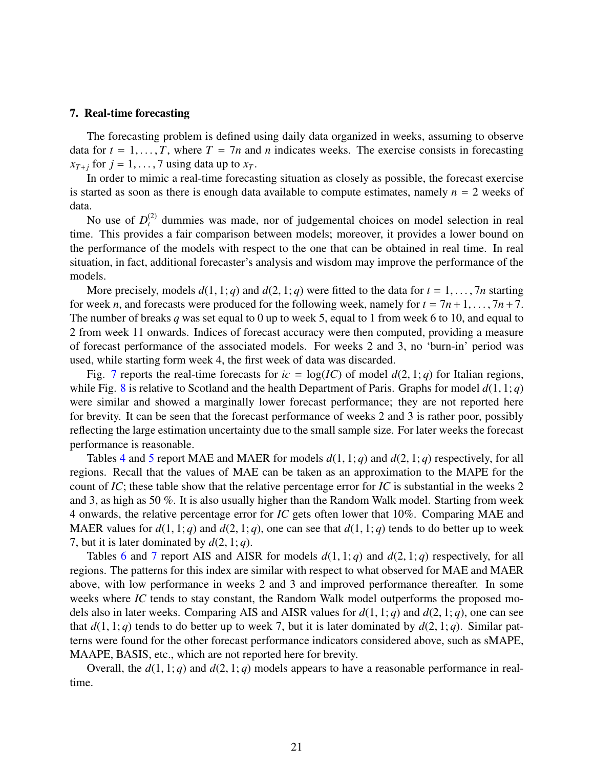## 7. Real-time forecasting

The forecasting problem is defined using daily data organized in weeks, assuming to observe data for  $t = 1, \ldots, T$ , where  $T = 7n$  and *n* indicates weeks. The exercise consists in forecasting  $x_{T+j}$  for  $j = 1, \ldots, 7$  using data up to  $x_T$ .

In order to mimic a real-time forecasting situation as closely as possible, the forecast exercise is started as soon as there is enough data available to compute estimates, namely  $n = 2$  weeks of data.

No use of  $D_t^{(2)}$  dummies was made, nor of judgemental choices on model selection in real time. This provides a fair comparison between models; moreover, it provides a lower bound on the performance of the models with respect to the one that can be obtained in real time. In real situation, in fact, additional forecaster's analysis and wisdom may improve the performance of the models.

More precisely, models  $d(1, 1; q)$  and  $d(2, 1; q)$  were fitted to the data for  $t = 1, \ldots, 7n$  starting for week *n*, and forecasts were produced for the following week, namely for  $t = 7n + 1, \ldots, 7n + 7$ . The number of breaks *q* was set equal to 0 up to week 5, equal to 1 from week 6 to 10, and equal to 2 from week 11 onwards. Indices of forecast accuracy were then computed, providing a measure of forecast performance of the associated models. For weeks 2 and 3, no 'burn-in' period was used, while starting form week 4, the first week of data was discarded.

Fig. 7 reports the real-time forecasts for  $ic = \log(IC)$  of model  $d(2, 1; q)$  for Italian regions, while Fig. 8 is relative to Scotland and the health Department of Paris. Graphs for model  $d(1, 1; q)$ were similar and showed a marginally lower forecast performance; they are not reported here for brevity. It can be seen that the forecast performance of weeks 2 and 3 is rather poor, possibly reflecting the large estimation uncertainty due to the small sample size. For later weeks the forecast performance is reasonable.

Tables 4 and 5 report MAE and MAER for models  $d(1, 1; q)$  and  $d(2, 1; q)$  respectively, for all regions. Recall that the values of MAE can be taken as an approximation to the MAPE for the count of *IC*; these table show that the relative percentage error for *IC* is substantial in the weeks 2 and 3, as high as 50 %. It is also usually higher than the Random Walk model. Starting from week 4 onwards, the relative percentage error for *IC* gets often lower that 10%. Comparing MAE and MAER values for  $d(1, 1; q)$  and  $d(2, 1; q)$ , one can see that  $d(1, 1; q)$  tends to do better up to week 7, but it is later dominated by  $d(2, 1; q)$ .

Tables 6 and 7 report AIS and AISR for models  $d(1, 1; q)$  and  $d(2, 1; q)$  respectively, for all regions. The patterns for this index are similar with respect to what observed for MAE and MAER above, with low performance in weeks 2 and 3 and improved performance thereafter. In some weeks where *IC* tends to stay constant, the Random Walk model outperforms the proposed models also in later weeks. Comparing AIS and AISR values for *<sup>d</sup>*(1, 1; *<sup>q</sup>*) and *<sup>d</sup>*(2, 1; *<sup>q</sup>*), one can see that  $d(1, 1; q)$  tends to do better up to week 7, but it is later dominated by  $d(2, 1; q)$ . Similar patterns were found for the other forecast performance indicators considered above, such as sMAPE, MAAPE, BASIS, etc., which are not reported here for brevity.

Overall, the  $d(1, 1; q)$  and  $d(2, 1; q)$  models appears to have a reasonable performance in realtime.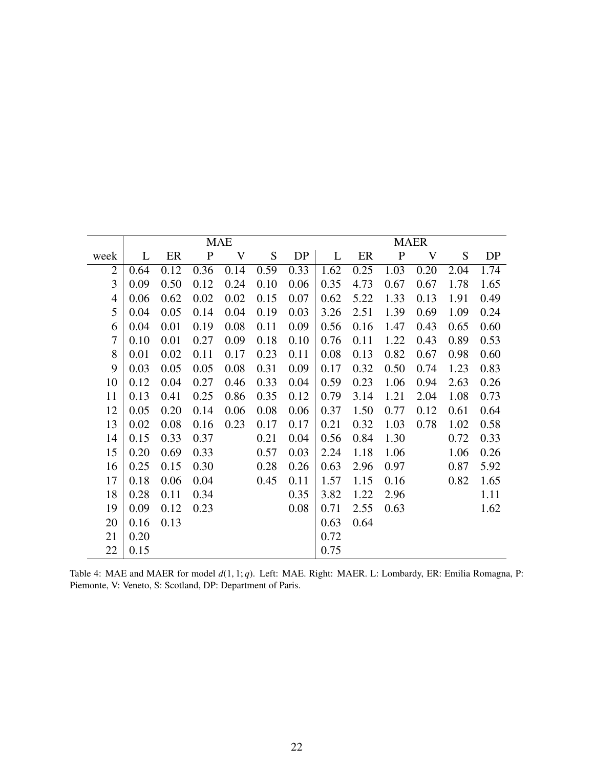|                | <b>MAE</b> |      |             |      |      |      |      | <b>MAER</b> |              |      |      |      |
|----------------|------------|------|-------------|------|------|------|------|-------------|--------------|------|------|------|
| week           | L          | ER   | $\mathbf P$ | V    | S    | DP   | L    | ER          | $\mathbf{P}$ | V    | S    | DP   |
| $\overline{2}$ | 0.64       | 0.12 | 0.36        | 0.14 | 0.59 | 0.33 | 1.62 | 0.25        | 1.03         | 0.20 | 2.04 | 1.74 |
| 3              | 0.09       | 0.50 | 0.12        | 0.24 | 0.10 | 0.06 | 0.35 | 4.73        | 0.67         | 0.67 | 1.78 | 1.65 |
| $\overline{4}$ | 0.06       | 0.62 | 0.02        | 0.02 | 0.15 | 0.07 | 0.62 | 5.22        | 1.33         | 0.13 | 1.91 | 0.49 |
| 5              | 0.04       | 0.05 | 0.14        | 0.04 | 0.19 | 0.03 | 3.26 | 2.51        | 1.39         | 0.69 | 1.09 | 0.24 |
| 6              | 0.04       | 0.01 | 0.19        | 0.08 | 0.11 | 0.09 | 0.56 | 0.16        | 1.47         | 0.43 | 0.65 | 0.60 |
| 7              | 0.10       | 0.01 | 0.27        | 0.09 | 0.18 | 0.10 | 0.76 | 0.11        | 1.22         | 0.43 | 0.89 | 0.53 |
| 8              | 0.01       | 0.02 | 0.11        | 0.17 | 0.23 | 0.11 | 0.08 | 0.13        | 0.82         | 0.67 | 0.98 | 0.60 |
| 9              | 0.03       | 0.05 | 0.05        | 0.08 | 0.31 | 0.09 | 0.17 | 0.32        | 0.50         | 0.74 | 1.23 | 0.83 |
| 10             | 0.12       | 0.04 | 0.27        | 0.46 | 0.33 | 0.04 | 0.59 | 0.23        | 1.06         | 0.94 | 2.63 | 0.26 |
| 11             | 0.13       | 0.41 | 0.25        | 0.86 | 0.35 | 0.12 | 0.79 | 3.14        | 1.21         | 2.04 | 1.08 | 0.73 |
| 12             | 0.05       | 0.20 | 0.14        | 0.06 | 0.08 | 0.06 | 0.37 | 1.50        | 0.77         | 0.12 | 0.61 | 0.64 |
| 13             | 0.02       | 0.08 | 0.16        | 0.23 | 0.17 | 0.17 | 0.21 | 0.32        | 1.03         | 0.78 | 1.02 | 0.58 |
| 14             | 0.15       | 0.33 | 0.37        |      | 0.21 | 0.04 | 0.56 | 0.84        | 1.30         |      | 0.72 | 0.33 |
| 15             | 0.20       | 0.69 | 0.33        |      | 0.57 | 0.03 | 2.24 | 1.18        | 1.06         |      | 1.06 | 0.26 |
| 16             | 0.25       | 0.15 | 0.30        |      | 0.28 | 0.26 | 0.63 | 2.96        | 0.97         |      | 0.87 | 5.92 |
| 17             | 0.18       | 0.06 | 0.04        |      | 0.45 | 0.11 | 1.57 | 1.15        | 0.16         |      | 0.82 | 1.65 |
| 18             | 0.28       | 0.11 | 0.34        |      |      | 0.35 | 3.82 | 1.22        | 2.96         |      |      | 1.11 |
| 19             | 0.09       | 0.12 | 0.23        |      |      | 0.08 | 0.71 | 2.55        | 0.63         |      |      | 1.62 |
| 20             | 0.16       | 0.13 |             |      |      |      | 0.63 | 0.64        |              |      |      |      |
| 21             | 0.20       |      |             |      |      |      | 0.72 |             |              |      |      |      |
| 22             | 0.15       |      |             |      |      |      | 0.75 |             |              |      |      |      |

Table 4: MAE and MAER for model *<sup>d</sup>*(1, 1; *<sup>q</sup>*). Left: MAE. Right: MAER. L: Lombardy, ER: Emilia Romagna, P: Piemonte, V: Veneto, S: Scotland, DP: Department of Paris.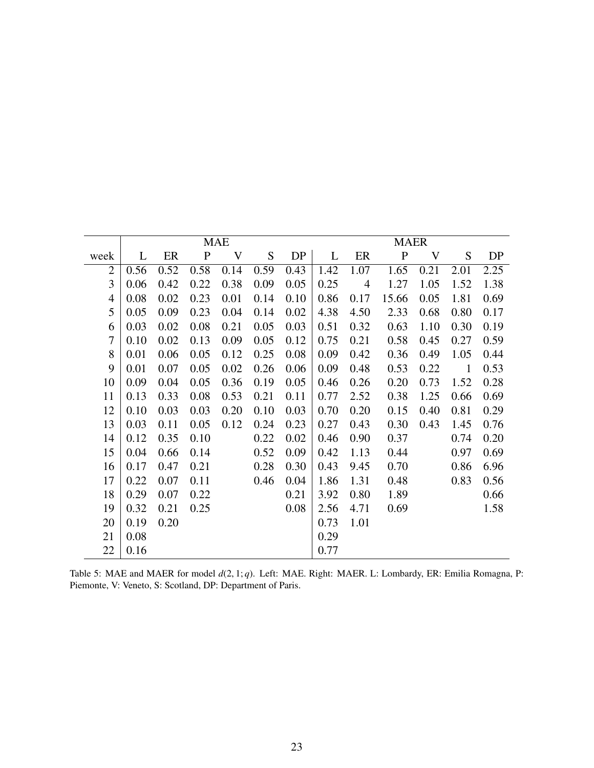|      | <b>MAE</b> |      |              |      |      |      |      |                | <b>MAER</b>  |      |              |      |
|------|------------|------|--------------|------|------|------|------|----------------|--------------|------|--------------|------|
| week | L          | ER   | $\mathbf{P}$ | V    | S    | DP   | L    | ER             | $\mathbf{P}$ | V    | S            | DP   |
| 2    | 0.56       | 0.52 | 0.58         | 0.14 | 0.59 | 0.43 | 1.42 | 1.07           | 1.65         | 0.21 | 2.01         | 2.25 |
| 3    | 0.06       | 0.42 | 0.22         | 0.38 | 0.09 | 0.05 | 0.25 | $\overline{4}$ | 1.27         | 1.05 | 1.52         | 1.38 |
| 4    | 0.08       | 0.02 | 0.23         | 0.01 | 0.14 | 0.10 | 0.86 | 0.17           | 15.66        | 0.05 | 1.81         | 0.69 |
| 5    | 0.05       | 0.09 | 0.23         | 0.04 | 0.14 | 0.02 | 4.38 | 4.50           | 2.33         | 0.68 | 0.80         | 0.17 |
| 6    | 0.03       | 0.02 | 0.08         | 0.21 | 0.05 | 0.03 | 0.51 | 0.32           | 0.63         | 1.10 | 0.30         | 0.19 |
| 7    | 0.10       | 0.02 | 0.13         | 0.09 | 0.05 | 0.12 | 0.75 | 0.21           | 0.58         | 0.45 | 0.27         | 0.59 |
| 8    | 0.01       | 0.06 | 0.05         | 0.12 | 0.25 | 0.08 | 0.09 | 0.42           | 0.36         | 0.49 | 1.05         | 0.44 |
| 9    | 0.01       | 0.07 | 0.05         | 0.02 | 0.26 | 0.06 | 0.09 | 0.48           | 0.53         | 0.22 | $\mathbf{1}$ | 0.53 |
| 10   | 0.09       | 0.04 | 0.05         | 0.36 | 0.19 | 0.05 | 0.46 | 0.26           | 0.20         | 0.73 | 1.52         | 0.28 |
| 11   | 0.13       | 0.33 | 0.08         | 0.53 | 0.21 | 0.11 | 0.77 | 2.52           | 0.38         | 1.25 | 0.66         | 0.69 |
| 12   | 0.10       | 0.03 | 0.03         | 0.20 | 0.10 | 0.03 | 0.70 | 0.20           | 0.15         | 0.40 | 0.81         | 0.29 |
| 13   | 0.03       | 0.11 | 0.05         | 0.12 | 0.24 | 0.23 | 0.27 | 0.43           | 0.30         | 0.43 | 1.45         | 0.76 |
| 14   | 0.12       | 0.35 | 0.10         |      | 0.22 | 0.02 | 0.46 | 0.90           | 0.37         |      | 0.74         | 0.20 |
| 15   | 0.04       | 0.66 | 0.14         |      | 0.52 | 0.09 | 0.42 | 1.13           | 0.44         |      | 0.97         | 0.69 |
| 16   | 0.17       | 0.47 | 0.21         |      | 0.28 | 0.30 | 0.43 | 9.45           | 0.70         |      | 0.86         | 6.96 |
| 17   | 0.22       | 0.07 | 0.11         |      | 0.46 | 0.04 | 1.86 | 1.31           | 0.48         |      | 0.83         | 0.56 |
| 18   | 0.29       | 0.07 | 0.22         |      |      | 0.21 | 3.92 | 0.80           | 1.89         |      |              | 0.66 |
| 19   | 0.32       | 0.21 | 0.25         |      |      | 0.08 | 2.56 | 4.71           | 0.69         |      |              | 1.58 |
| 20   | 0.19       | 0.20 |              |      |      |      | 0.73 | 1.01           |              |      |              |      |
| 21   | 0.08       |      |              |      |      |      | 0.29 |                |              |      |              |      |
| 22   | 0.16       |      |              |      |      |      | 0.77 |                |              |      |              |      |

Table 5: MAE and MAER for model *<sup>d</sup>*(2, 1; *<sup>q</sup>*). Left: MAE. Right: MAER. L: Lombardy, ER: Emilia Romagna, P: Piemonte, V: Veneto, S: Scotland, DP: Department of Paris.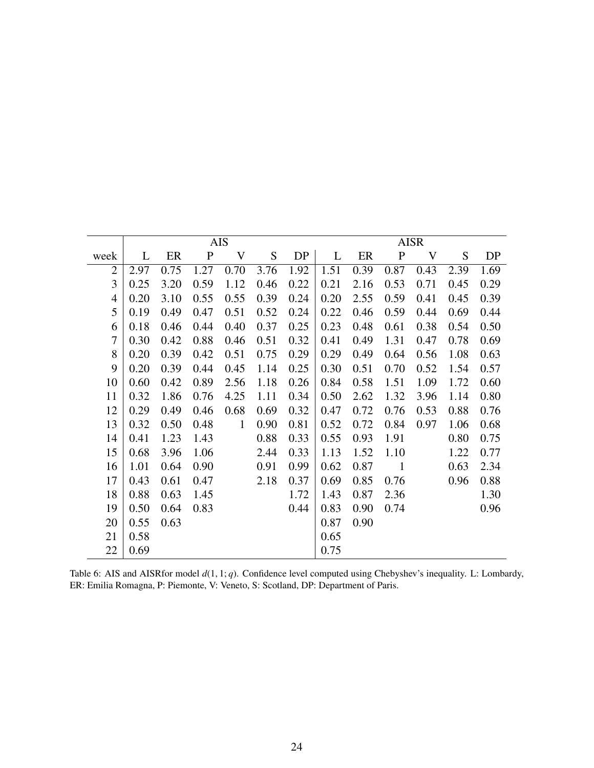|                |      |      |             | <b>AIS</b>   |      |      | <b>AISR</b> |      |                |      |      |      |
|----------------|------|------|-------------|--------------|------|------|-------------|------|----------------|------|------|------|
| week           | L    | ER   | $\mathbf P$ | V            | S    | DP   | L           | ER   | $\mathbf{P}$   | V    | S    | DP   |
| $\overline{2}$ | 2.97 | 0.75 | 1.27        | 0.70         | 3.76 | 1.92 | 1.51        | 0.39 | 0.87           | 0.43 | 2.39 | 1.69 |
| 3              | 0.25 | 3.20 | 0.59        | 1.12         | 0.46 | 0.22 | 0.21        | 2.16 | 0.53           | 0.71 | 0.45 | 0.29 |
| $\overline{4}$ | 0.20 | 3.10 | 0.55        | 0.55         | 0.39 | 0.24 | 0.20        | 2.55 | 0.59           | 0.41 | 0.45 | 0.39 |
| 5              | 0.19 | 0.49 | 0.47        | 0.51         | 0.52 | 0.24 | 0.22        | 0.46 | 0.59           | 0.44 | 0.69 | 0.44 |
| 6              | 0.18 | 0.46 | 0.44        | 0.40         | 0.37 | 0.25 | 0.23        | 0.48 | 0.61           | 0.38 | 0.54 | 0.50 |
| 7              | 0.30 | 0.42 | 0.88        | 0.46         | 0.51 | 0.32 | 0.41        | 0.49 | 1.31           | 0.47 | 0.78 | 0.69 |
| 8              | 0.20 | 0.39 | 0.42        | 0.51         | 0.75 | 0.29 | 0.29        | 0.49 | 0.64           | 0.56 | 1.08 | 0.63 |
| 9              | 0.20 | 0.39 | 0.44        | 0.45         | 1.14 | 0.25 | 0.30        | 0.51 | 0.70           | 0.52 | 1.54 | 0.57 |
| 10             | 0.60 | 0.42 | 0.89        | 2.56         | 1.18 | 0.26 | 0.84        | 0.58 | 1.51           | 1.09 | 1.72 | 0.60 |
| 11             | 0.32 | 1.86 | 0.76        | 4.25         | 1.11 | 0.34 | 0.50        | 2.62 | 1.32           | 3.96 | 1.14 | 0.80 |
| 12             | 0.29 | 0.49 | 0.46        | 0.68         | 0.69 | 0.32 | 0.47        | 0.72 | 0.76           | 0.53 | 0.88 | 0.76 |
| 13             | 0.32 | 0.50 | 0.48        | $\mathbf{1}$ | 0.90 | 0.81 | 0.52        | 0.72 | 0.84           | 0.97 | 1.06 | 0.68 |
| 14             | 0.41 | 1.23 | 1.43        |              | 0.88 | 0.33 | 0.55        | 0.93 | 1.91           |      | 0.80 | 0.75 |
| 15             | 0.68 | 3.96 | 1.06        |              | 2.44 | 0.33 | 1.13        | 1.52 | 1.10           |      | 1.22 | 0.77 |
| 16             | 1.01 | 0.64 | 0.90        |              | 0.91 | 0.99 | 0.62        | 0.87 | $\blacksquare$ |      | 0.63 | 2.34 |
| 17             | 0.43 | 0.61 | 0.47        |              | 2.18 | 0.37 | 0.69        | 0.85 | 0.76           |      | 0.96 | 0.88 |
| 18             | 0.88 | 0.63 | 1.45        |              |      | 1.72 | 1.43        | 0.87 | 2.36           |      |      | 1.30 |
| 19             | 0.50 | 0.64 | 0.83        |              |      | 0.44 | 0.83        | 0.90 | 0.74           |      |      | 0.96 |
| 20             | 0.55 | 0.63 |             |              |      |      | 0.87        | 0.90 |                |      |      |      |
| 21             | 0.58 |      |             |              |      |      | 0.65        |      |                |      |      |      |
| 22             | 0.69 |      |             |              |      |      | 0.75        |      |                |      |      |      |

Table 6: AIS and AISRfor model *<sup>d</sup>*(1, 1; *<sup>q</sup>*). Confidence level computed using Chebyshev's inequality. L: Lombardy, ER: Emilia Romagna, P: Piemonte, V: Veneto, S: Scotland, DP: Department of Paris.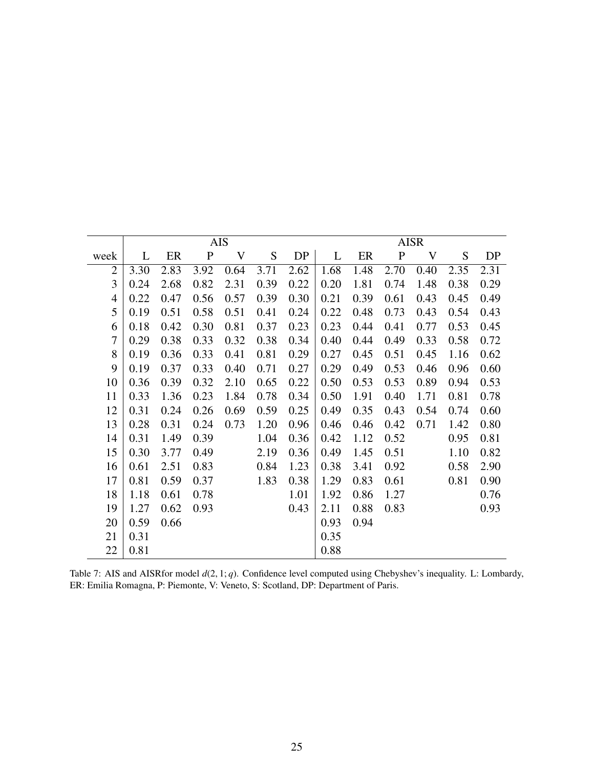|                | <b>AIS</b> |      |             |      |      |      |      | <b>AISR</b> |              |      |      |      |  |
|----------------|------------|------|-------------|------|------|------|------|-------------|--------------|------|------|------|--|
| week           | L          | ER   | $\mathbf P$ | V    | S    | DP   | L    | ER          | $\mathbf{P}$ | V    | S    | DP   |  |
| $\overline{2}$ | 3.30       | 2.83 | 3.92        | 0.64 | 3.71 | 2.62 | 1.68 | 1.48        | 2.70         | 0.40 | 2.35 | 2.31 |  |
| 3              | 0.24       | 2.68 | 0.82        | 2.31 | 0.39 | 0.22 | 0.20 | 1.81        | 0.74         | 1.48 | 0.38 | 0.29 |  |
| $\overline{4}$ | 0.22       | 0.47 | 0.56        | 0.57 | 0.39 | 0.30 | 0.21 | 0.39        | 0.61         | 0.43 | 0.45 | 0.49 |  |
| 5              | 0.19       | 0.51 | 0.58        | 0.51 | 0.41 | 0.24 | 0.22 | 0.48        | 0.73         | 0.43 | 0.54 | 0.43 |  |
| 6              | 0.18       | 0.42 | 0.30        | 0.81 | 0.37 | 0.23 | 0.23 | 0.44        | 0.41         | 0.77 | 0.53 | 0.45 |  |
| 7              | 0.29       | 0.38 | 0.33        | 0.32 | 0.38 | 0.34 | 0.40 | 0.44        | 0.49         | 0.33 | 0.58 | 0.72 |  |
| 8              | 0.19       | 0.36 | 0.33        | 0.41 | 0.81 | 0.29 | 0.27 | 0.45        | 0.51         | 0.45 | 1.16 | 0.62 |  |
| 9              | 0.19       | 0.37 | 0.33        | 0.40 | 0.71 | 0.27 | 0.29 | 0.49        | 0.53         | 0.46 | 0.96 | 0.60 |  |
| 10             | 0.36       | 0.39 | 0.32        | 2.10 | 0.65 | 0.22 | 0.50 | 0.53        | 0.53         | 0.89 | 0.94 | 0.53 |  |
| 11             | 0.33       | 1.36 | 0.23        | 1.84 | 0.78 | 0.34 | 0.50 | 1.91        | 0.40         | 1.71 | 0.81 | 0.78 |  |
| 12             | 0.31       | 0.24 | 0.26        | 0.69 | 0.59 | 0.25 | 0.49 | 0.35        | 0.43         | 0.54 | 0.74 | 0.60 |  |
| 13             | 0.28       | 0.31 | 0.24        | 0.73 | 1.20 | 0.96 | 0.46 | 0.46        | 0.42         | 0.71 | 1.42 | 0.80 |  |
| 14             | 0.31       | 1.49 | 0.39        |      | 1.04 | 0.36 | 0.42 | 1.12        | 0.52         |      | 0.95 | 0.81 |  |
| 15             | 0.30       | 3.77 | 0.49        |      | 2.19 | 0.36 | 0.49 | 1.45        | 0.51         |      | 1.10 | 0.82 |  |
| 16             | 0.61       | 2.51 | 0.83        |      | 0.84 | 1.23 | 0.38 | 3.41        | 0.92         |      | 0.58 | 2.90 |  |
| 17             | 0.81       | 0.59 | 0.37        |      | 1.83 | 0.38 | 1.29 | 0.83        | 0.61         |      | 0.81 | 0.90 |  |
| 18             | 1.18       | 0.61 | 0.78        |      |      | 1.01 | 1.92 | 0.86        | 1.27         |      |      | 0.76 |  |
| 19             | 1.27       | 0.62 | 0.93        |      |      | 0.43 | 2.11 | 0.88        | 0.83         |      |      | 0.93 |  |
| 20             | 0.59       | 0.66 |             |      |      |      | 0.93 | 0.94        |              |      |      |      |  |
| 21             | 0.31       |      |             |      |      |      | 0.35 |             |              |      |      |      |  |
| 22             | 0.81       |      |             |      |      |      | 0.88 |             |              |      |      |      |  |

Table 7: AIS and AISRfor model *<sup>d</sup>*(2, 1; *<sup>q</sup>*). Confidence level computed using Chebyshev's inequality. L: Lombardy, ER: Emilia Romagna, P: Piemonte, V: Veneto, S: Scotland, DP: Department of Paris.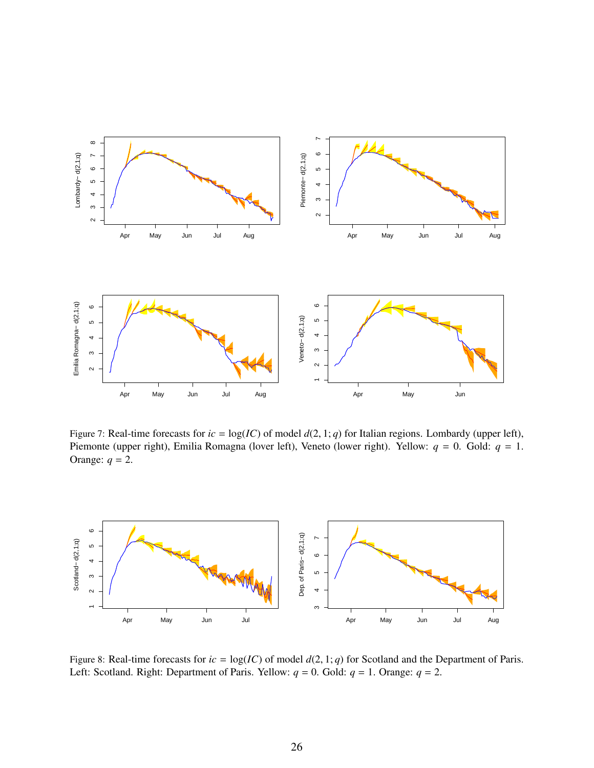

Figure 7: Real-time forecasts for  $ic = \log(IC)$  of model  $d(2, 1; q)$  for Italian regions. Lombardy (upper left), Piemonte (upper right), Emilia Romagna (lover left), Veneto (lower right). Yellow: *q* = 0. Gold: *q* = 1. Orange:  $q = 2$ .



Figure 8: Real-time forecasts for  $ic = \log(IC)$  of model  $d(2, 1; q)$  for Scotland and the Department of Paris. Left: Scotland. Right: Department of Paris. Yellow:  $q = 0$ . Gold:  $q = 1$ . Orange:  $q = 2$ .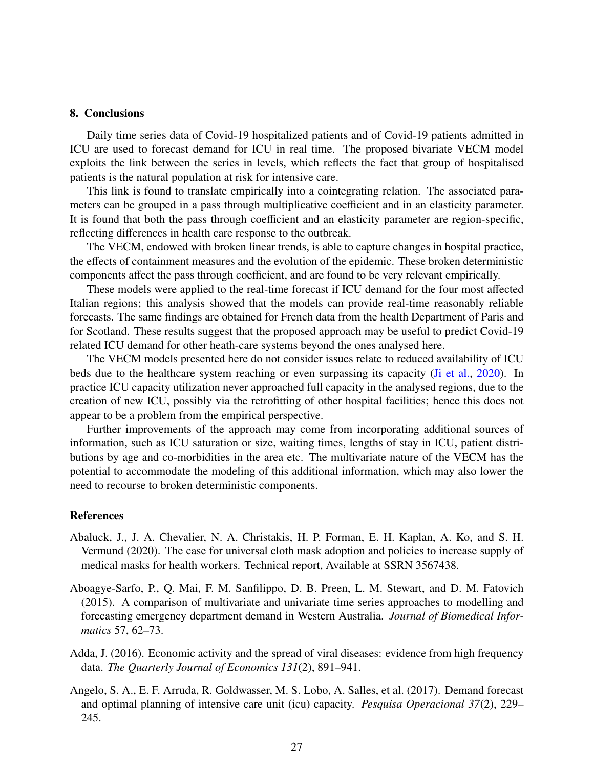## 8. Conclusions

Daily time series data of Covid-19 hospitalized patients and of Covid-19 patients admitted in ICU are used to forecast demand for ICU in real time. The proposed bivariate VECM model exploits the link between the series in levels, which reflects the fact that group of hospitalised patients is the natural population at risk for intensive care.

This link is found to translate empirically into a cointegrating relation. The associated parameters can be grouped in a pass through multiplicative coefficient and in an elasticity parameter. It is found that both the pass through coefficient and an elasticity parameter are region-specific, reflecting differences in health care response to the outbreak.

The VECM, endowed with broken linear trends, is able to capture changes in hospital practice, the effects of containment measures and the evolution of the epidemic. These broken deterministic components affect the pass through coefficient, and are found to be very relevant empirically.

These models were applied to the real-time forecast if ICU demand for the four most affected Italian regions; this analysis showed that the models can provide real-time reasonably reliable forecasts. The same findings are obtained for French data from the health Department of Paris and for Scotland. These results suggest that the proposed approach may be useful to predict Covid-19 related ICU demand for other heath-care systems beyond the ones analysed here.

The VECM models presented here do not consider issues relate to reduced availability of ICU beds due to the healthcare system reaching or even surpassing its capacity (Ji et al., 2020). In practice ICU capacity utilization never approached full capacity in the analysed regions, due to the creation of new ICU, possibly via the retrofitting of other hospital facilities; hence this does not appear to be a problem from the empirical perspective.

Further improvements of the approach may come from incorporating additional sources of information, such as ICU saturation or size, waiting times, lengths of stay in ICU, patient distributions by age and co-morbidities in the area etc. The multivariate nature of the VECM has the potential to accommodate the modeling of this additional information, which may also lower the need to recourse to broken deterministic components.

## References

- Abaluck, J., J. A. Chevalier, N. A. Christakis, H. P. Forman, E. H. Kaplan, A. Ko, and S. H. Vermund (2020). The case for universal cloth mask adoption and policies to increase supply of medical masks for health workers. Technical report, Available at SSRN 3567438.
- Aboagye-Sarfo, P., Q. Mai, F. M. Sanfilippo, D. B. Preen, L. M. Stewart, and D. M. Fatovich (2015). A comparison of multivariate and univariate time series approaches to modelling and forecasting emergency department demand in Western Australia. *Journal of Biomedical Informatics* 57, 62–73.
- Adda, J. (2016). Economic activity and the spread of viral diseases: evidence from high frequency data. *The Quarterly Journal of Economics 131*(2), 891–941.
- Angelo, S. A., E. F. Arruda, R. Goldwasser, M. S. Lobo, A. Salles, et al. (2017). Demand forecast and optimal planning of intensive care unit (icu) capacity. *Pesquisa Operacional 37*(2), 229– 245.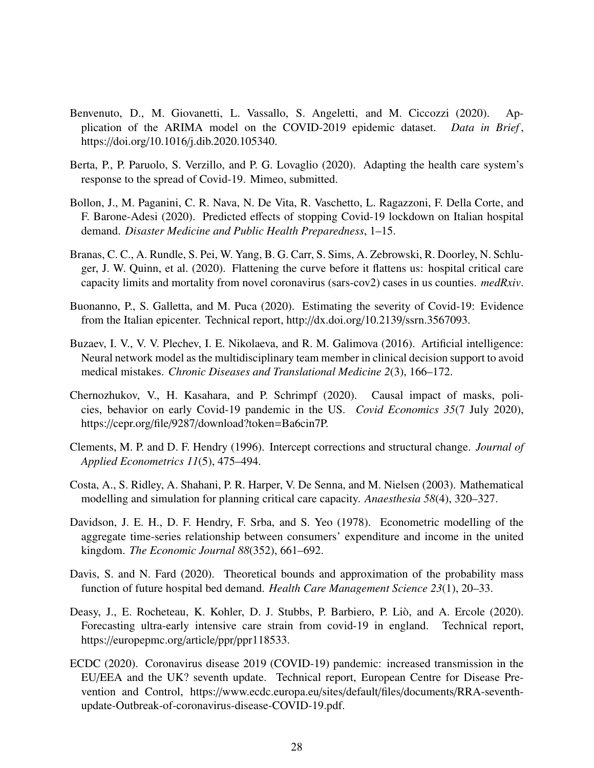- Benvenuto, D., M. Giovanetti, L. Vassallo, S. Angeletti, and M. Ciccozzi (2020). Application of the ARIMA model on the COVID-2019 epidemic dataset. *Data in Brief* , https://doi.org/10.1016/j.dib.2020.105340.
- Berta, P., P. Paruolo, S. Verzillo, and P. G. Lovaglio (2020). Adapting the health care system's response to the spread of Covid-19. Mimeo, submitted.
- Bollon, J., M. Paganini, C. R. Nava, N. De Vita, R. Vaschetto, L. Ragazzoni, F. Della Corte, and F. Barone-Adesi (2020). Predicted effects of stopping Covid-19 lockdown on Italian hospital demand. *Disaster Medicine and Public Health Preparedness*, 1–15.
- Branas, C. C., A. Rundle, S. Pei, W. Yang, B. G. Carr, S. Sims, A. Zebrowski, R. Doorley, N. Schluger, J. W. Quinn, et al. (2020). Flattening the curve before it flattens us: hospital critical care capacity limits and mortality from novel coronavirus (sars-cov2) cases in us counties. *medRxiv*.
- Buonanno, P., S. Galletta, and M. Puca (2020). Estimating the severity of Covid-19: Evidence from the Italian epicenter. Technical report, http://dx.doi.org/10.2139/ssrn.3567093.
- Buzaev, I. V., V. V. Plechev, I. E. Nikolaeva, and R. M. Galimova (2016). Artificial intelligence: Neural network model as the multidisciplinary team member in clinical decision support to avoid medical mistakes. *Chronic Diseases and Translational Medicine 2*(3), 166–172.
- Chernozhukov, V., H. Kasahara, and P. Schrimpf (2020). Causal impact of masks, policies, behavior on early Covid-19 pandemic in the US. *Covid Economics 35*(7 July 2020), https://cepr.org/file/9287/download?token=Ba6cin7P.
- Clements, M. P. and D. F. Hendry (1996). Intercept corrections and structural change. *Journal of Applied Econometrics 11*(5), 475–494.
- Costa, A., S. Ridley, A. Shahani, P. R. Harper, V. De Senna, and M. Nielsen (2003). Mathematical modelling and simulation for planning critical care capacity. *Anaesthesia 58*(4), 320–327.
- Davidson, J. E. H., D. F. Hendry, F. Srba, and S. Yeo (1978). Econometric modelling of the aggregate time-series relationship between consumers' expenditure and income in the united kingdom. *The Economic Journal 88*(352), 661–692.
- Davis, S. and N. Fard (2020). Theoretical bounds and approximation of the probability mass function of future hospital bed demand. *Health Care Management Science 23*(1), 20–33.
- Deasy, J., E. Rocheteau, K. Kohler, D. J. Stubbs, P. Barbiero, P. Liò, and A. Ercole (2020). Forecasting ultra-early intensive care strain from covid-19 in england. Technical report, https://europepmc.org/article/ppr/ppr118533.
- ECDC (2020). Coronavirus disease 2019 (COVID-19) pandemic: increased transmission in the EU/EEA and the UK? seventh update. Technical report, European Centre for Disease Prevention and Control, https://www.ecdc.europa.eu/sites/default/files/documents/RRA-seventhupdate-Outbreak-of-coronavirus-disease-COVID-19.pdf.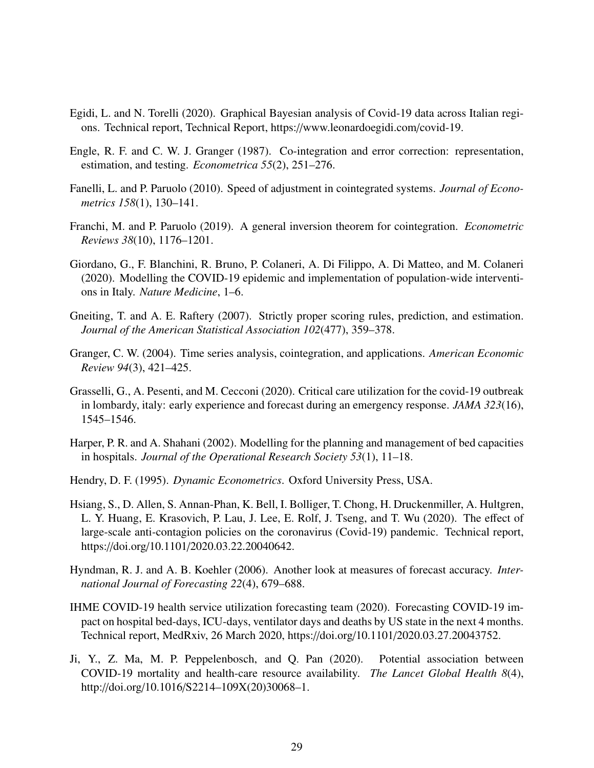- Egidi, L. and N. Torelli (2020). Graphical Bayesian analysis of Covid-19 data across Italian regions. Technical report, Technical Report, https://www.leonardoegidi.com/covid-19.
- Engle, R. F. and C. W. J. Granger (1987). Co-integration and error correction: representation, estimation, and testing. *Econometrica 55*(2), 251–276.
- Fanelli, L. and P. Paruolo (2010). Speed of adjustment in cointegrated systems. *Journal of Econometrics 158*(1), 130–141.
- Franchi, M. and P. Paruolo (2019). A general inversion theorem for cointegration. *Econometric Reviews 38*(10), 1176–1201.
- Giordano, G., F. Blanchini, R. Bruno, P. Colaneri, A. Di Filippo, A. Di Matteo, and M. Colaneri (2020). Modelling the COVID-19 epidemic and implementation of population-wide interventions in Italy. *Nature Medicine*, 1–6.
- Gneiting, T. and A. E. Raftery (2007). Strictly proper scoring rules, prediction, and estimation. *Journal of the American Statistical Association 102*(477), 359–378.
- Granger, C. W. (2004). Time series analysis, cointegration, and applications. *American Economic Review 94*(3), 421–425.
- Grasselli, G., A. Pesenti, and M. Cecconi (2020). Critical care utilization for the covid-19 outbreak in lombardy, italy: early experience and forecast during an emergency response. *JAMA 323*(16), 1545–1546.
- Harper, P. R. and A. Shahani (2002). Modelling for the planning and management of bed capacities in hospitals. *Journal of the Operational Research Society 53*(1), 11–18.
- Hendry, D. F. (1995). *Dynamic Econometrics*. Oxford University Press, USA.
- Hsiang, S., D. Allen, S. Annan-Phan, K. Bell, I. Bolliger, T. Chong, H. Druckenmiller, A. Hultgren, L. Y. Huang, E. Krasovich, P. Lau, J. Lee, E. Rolf, J. Tseng, and T. Wu (2020). The effect of large-scale anti-contagion policies on the coronavirus (Covid-19) pandemic. Technical report, https://doi.org/10.1101/2020.03.22.20040642.
- Hyndman, R. J. and A. B. Koehler (2006). Another look at measures of forecast accuracy. *International Journal of Forecasting 22*(4), 679–688.
- IHME COVID-19 health service utilization forecasting team (2020). Forecasting COVID-19 impact on hospital bed-days, ICU-days, ventilator days and deaths by US state in the next 4 months. Technical report, MedRxiv, 26 March 2020, https://doi.org/10.1101/2020.03.27.20043752.
- Ji, Y., Z. Ma, M. P. Peppelenbosch, and Q. Pan (2020). Potential association between COVID-19 mortality and health-care resource availability. *The Lancet Global Health 8*(4), http://doi.org/10.1016/S2214–109X(20)30068–1.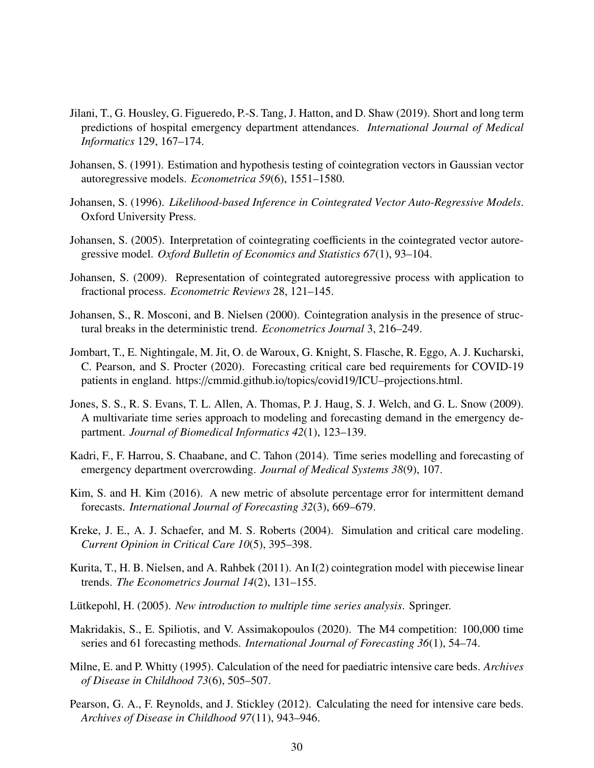- Jilani, T., G. Housley, G. Figueredo, P.-S. Tang, J. Hatton, and D. Shaw (2019). Short and long term predictions of hospital emergency department attendances. *International Journal of Medical Informatics* 129, 167–174.
- Johansen, S. (1991). Estimation and hypothesis testing of cointegration vectors in Gaussian vector autoregressive models. *Econometrica 59*(6), 1551–1580.
- Johansen, S. (1996). *Likelihood-based Inference in Cointegrated Vector Auto-Regressive Models*. Oxford University Press.
- Johansen, S. (2005). Interpretation of cointegrating coefficients in the cointegrated vector autoregressive model. *Oxford Bulletin of Economics and Statistics 67*(1), 93–104.
- Johansen, S. (2009). Representation of cointegrated autoregressive process with application to fractional process. *Econometric Reviews* 28, 121–145.
- Johansen, S., R. Mosconi, and B. Nielsen (2000). Cointegration analysis in the presence of structural breaks in the deterministic trend. *Econometrics Journal* 3, 216–249.
- Jombart, T., E. Nightingale, M. Jit, O. de Waroux, G. Knight, S. Flasche, R. Eggo, A. J. Kucharski, C. Pearson, and S. Procter (2020). Forecasting critical care bed requirements for COVID-19 patients in england. https://cmmid.github.io/topics/covid19/ICU–projections.html.
- Jones, S. S., R. S. Evans, T. L. Allen, A. Thomas, P. J. Haug, S. J. Welch, and G. L. Snow (2009). A multivariate time series approach to modeling and forecasting demand in the emergency department. *Journal of Biomedical Informatics 42*(1), 123–139.
- Kadri, F., F. Harrou, S. Chaabane, and C. Tahon (2014). Time series modelling and forecasting of emergency department overcrowding. *Journal of Medical Systems 38*(9), 107.
- Kim, S. and H. Kim (2016). A new metric of absolute percentage error for intermittent demand forecasts. *International Journal of Forecasting 32*(3), 669–679.
- Kreke, J. E., A. J. Schaefer, and M. S. Roberts (2004). Simulation and critical care modeling. *Current Opinion in Critical Care 10*(5), 395–398.
- Kurita, T., H. B. Nielsen, and A. Rahbek (2011). An I(2) cointegration model with piecewise linear trends. *The Econometrics Journal 14*(2), 131–155.
- Lütkepohl, H. (2005). New introduction to multiple time series analysis. Springer.
- Makridakis, S., E. Spiliotis, and V. Assimakopoulos (2020). The M4 competition: 100,000 time series and 61 forecasting methods. *International Journal of Forecasting 36*(1), 54–74.
- Milne, E. and P. Whitty (1995). Calculation of the need for paediatric intensive care beds. *Archives of Disease in Childhood 73*(6), 505–507.
- Pearson, G. A., F. Reynolds, and J. Stickley (2012). Calculating the need for intensive care beds. *Archives of Disease in Childhood 97*(11), 943–946.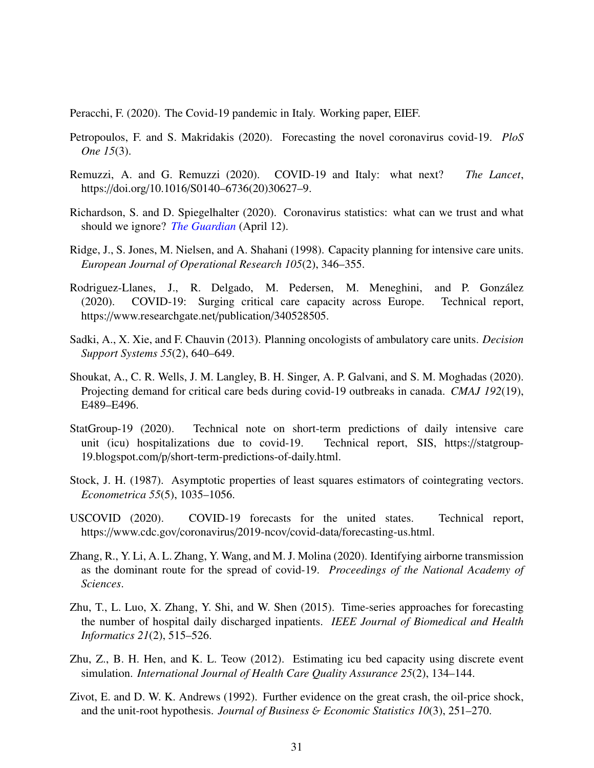Peracchi, F. (2020). The Covid-19 pandemic in Italy. Working paper, EIEF.

- Petropoulos, F. and S. Makridakis (2020). Forecasting the novel coronavirus covid-19. *PloS One 15*(3).
- Remuzzi, A. and G. Remuzzi (2020). COVID-19 and Italy: what next? *The Lancet*, https://doi.org/10.1016/S0140–6736(20)30627–9.
- Richardson, S. and D. Spiegelhalter (2020). Coronavirus statistics: what can we trust and what should we ignore? *The Guardian* (April 12).
- Ridge, J., S. Jones, M. Nielsen, and A. Shahani (1998). Capacity planning for intensive care units. *European Journal of Operational Research 105*(2), 346–355.
- Rodriguez-Llanes, J., R. Delgado, M. Pedersen, M. Meneghini, and P. González (2020). COVID-19: Surging critical care capacity across Europe. Technical report, https://www.researchgate.net/publication/340528505.
- Sadki, A., X. Xie, and F. Chauvin (2013). Planning oncologists of ambulatory care units. *Decision Support Systems 55*(2), 640–649.
- Shoukat, A., C. R. Wells, J. M. Langley, B. H. Singer, A. P. Galvani, and S. M. Moghadas (2020). Projecting demand for critical care beds during covid-19 outbreaks in canada. *CMAJ 192*(19), E489–E496.
- StatGroup-19 (2020). Technical note on short-term predictions of daily intensive care unit (icu) hospitalizations due to covid-19. Technical report, SIS, https://statgroup-19.blogspot.com/p/short-term-predictions-of-daily.html.
- Stock, J. H. (1987). Asymptotic properties of least squares estimators of cointegrating vectors. *Econometrica 55*(5), 1035–1056.
- USCOVID (2020). COVID-19 forecasts for the united states. Technical report, https://www.cdc.gov/coronavirus/2019-ncov/covid-data/forecasting-us.html.
- Zhang, R., Y. Li, A. L. Zhang, Y. Wang, and M. J. Molina (2020). Identifying airborne transmission as the dominant route for the spread of covid-19. *Proceedings of the National Academy of Sciences*.
- Zhu, T., L. Luo, X. Zhang, Y. Shi, and W. Shen (2015). Time-series approaches for forecasting the number of hospital daily discharged inpatients. *IEEE Journal of Biomedical and Health Informatics 21*(2), 515–526.
- Zhu, Z., B. H. Hen, and K. L. Teow (2012). Estimating icu bed capacity using discrete event simulation. *International Journal of Health Care Quality Assurance 25*(2), 134–144.
- Zivot, E. and D. W. K. Andrews (1992). Further evidence on the great crash, the oil-price shock, and the unit-root hypothesis. *Journal of Business* & *Economic Statistics 10*(3), 251–270.